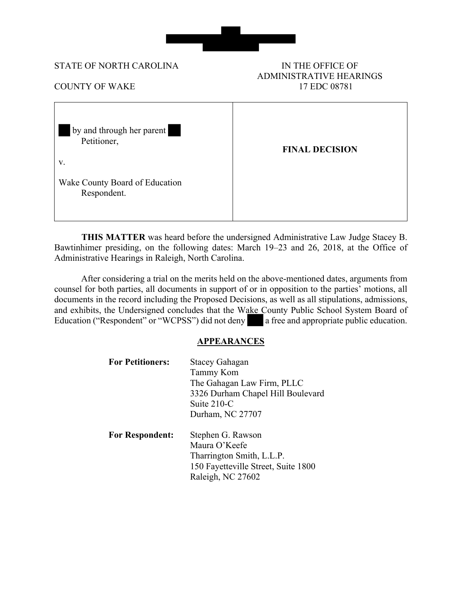

#### STATE OF NORTH CAROLINA IN THE OFFICE OF

# ADMINISTRATIVE HEARINGS COUNTY OF WAKE 17 EDC 08781

| by and through her parent<br>Petitioner,<br>V. | <b>FINAL DECISION</b> |
|------------------------------------------------|-----------------------|
| Wake County Board of Education<br>Respondent.  |                       |

**THIS MATTER** was heard before the undersigned Administrative Law Judge Stacey B. Bawtinhimer presiding, on the following dates: March 19–23 and 26, 2018, at the Office of Administrative Hearings in Raleigh, North Carolina.

 After considering a trial on the merits held on the above-mentioned dates, arguments from counsel for both parties, all documents in support of or in opposition to the parties' motions, all documents in the record including the Proposed Decisions, as well as all stipulations, admissions, and exhibits, the Undersigned concludes that the Wake County Public School System Board of Education ("Respondent" or "WCPSS") did not deny a free and appropriate public education.

#### **APPEARANCES**

| <b>For Petitioners:</b> | <b>Stacey Gahagan</b>               |  |
|-------------------------|-------------------------------------|--|
|                         | <b>Tammy Kom</b>                    |  |
|                         | The Gahagan Law Firm, PLLC          |  |
|                         | 3326 Durham Chapel Hill Boulevard   |  |
|                         | Suite 210-C                         |  |
|                         | Durham, NC 27707                    |  |
| <b>For Respondent:</b>  | Stephen G. Rawson                   |  |
|                         | Maura O'Keefe                       |  |
|                         | Tharrington Smith, L.L.P.           |  |
|                         | 150 Fayetteville Street, Suite 1800 |  |
|                         | Raleigh, NC 27602                   |  |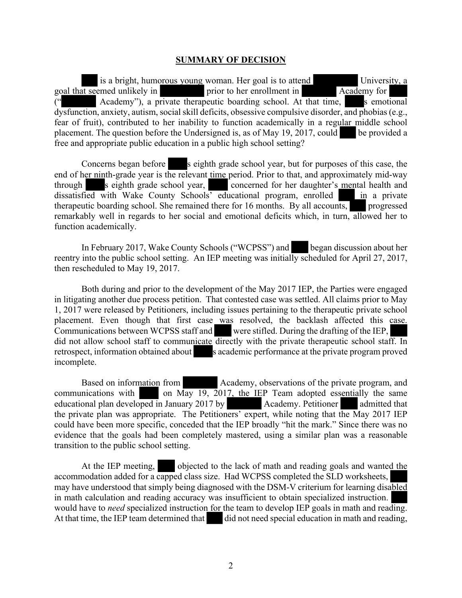#### **SUMMARY OF DECISION**

is a bright, humorous young woman. Her goal is to attend University, a goal that seemed unlikely in prior to her enrollment in Academy for Academy"), a private therapeutic boarding school. At that time, s emotional dysfunction, anxiety, autism, social skill deficits, obsessive compulsive disorder, and phobias(e.g., fear of fruit), contributed to her inability to function academically in a regular middle school placement. The question before the Undersigned is, as of May 19, 2017, could be provided a free and appropriate public education in a public high school setting?

Concerns began before s eighth grade school year, but for purposes of this case, the end of her ninth-grade year is the relevant time period. Prior to that, and approximately mid-way through s eighth grade school year, concerned for her daughter's mental health and dissatisfied with Wake County Schools' educational program, enrolled in a private therapeutic boarding school. She remained there for 16 months. By all accounts, progressed remarkably well in regards to her social and emotional deficits which, in turn, allowed her to function academically.

In February 2017, Wake County Schools ("WCPSS") and began discussion about her reentry into the public school setting. An IEP meeting was initially scheduled for April 27, 2017, then rescheduled to May 19, 2017.

Both during and prior to the development of the May 2017 IEP, the Parties were engaged in litigating another due process petition. That contested case was settled. All claims prior to May 1, 2017 were released by Petitioners, including issues pertaining to the therapeutic private school placement. Even though that first case was resolved, the backlash affected this case. Communications between WCPSS staff and were stifled. During the drafting of the IEP, did not allow school staff to communicate directly with the private therapeutic school staff. In retrospect, information obtained about s academic performance at the private program proved incomplete.

Based on information from Academy, observations of the private program, and communications with on May 19, 2017, the IEP Team adopted essentially the same educational plan developed in January 2017 by Academy. Petitioner admitted that the private plan was appropriate. The Petitioners' expert, while noting that the May 2017 IEP could have been more specific, conceded that the IEP broadly "hit the mark." Since there was no evidence that the goals had been completely mastered, using a similar plan was a reasonable transition to the public school setting.

At the IEP meeting, objected to the lack of math and reading goals and wanted the accommodation added for a capped class size. Had WCPSS completed the SLD worksheets, may have understood that simply being diagnosed with the DSM-V criterium for learning disabled in math calculation and reading accuracy was insufficient to obtain specialized instruction. would have to *need* specialized instruction for the team to develop IEP goals in math and reading. At that time, the IEP team determined that did not need special education in math and reading,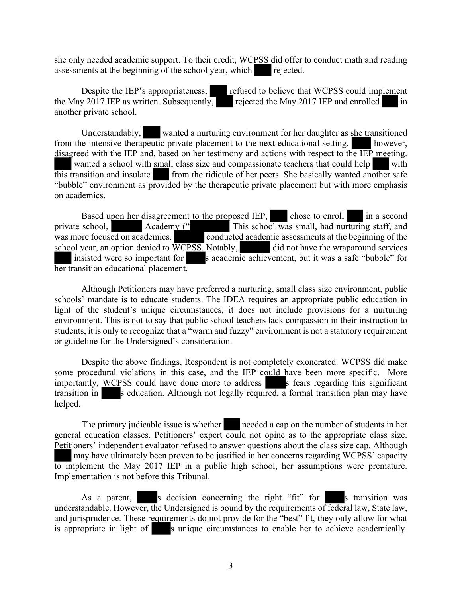she only needed academic support. To their credit, WCPSS did offer to conduct math and reading assessments at the beginning of the school year, which rejected.

Despite the IEP's appropriateness, refused to believe that WCPSS could implement the May 2017 IEP as written. Subsequently, rejected the May 2017 IEP and enrolled in another private school.

Understandably, wanted a nurturing environment for her daughter as she transitioned from the intensive therapeutic private placement to the next educational setting. however, disagreed with the IEP and, based on her testimony and actions with respect to the IEP meeting. wanted a school with small class size and compassionate teachers that could help with  $\overline{this}$  transition and insulate from the ridicule of her peers. She basically wanted another safe "bubble" environment as provided by the therapeutic private placement but with more emphasis on academics.

Based upon her disagreement to the proposed IEP, chose to enroll in a second school, Academy ("This school was small, had nurturing staff, and private school, Academy (" This school was small, had nurturing staff, and was more focused on academics. conducted academic assessments at the beginning of the school year, an option denied to WCPSS. Notably, did not have the wraparound services insisted were so important for s academic achievement, but it was a safe "bubble" for her transition educational placement.

Although Petitioners may have preferred a nurturing, small class size environment, public schools' mandate is to educate students. The IDEA requires an appropriate public education in light of the student's unique circumstances, it does not include provisions for a nurturing environment. This is not to say that public school teachers lack compassion in their instruction to students, it is only to recognize that a "warm and fuzzy" environment is not a statutory requirement or guideline for the Undersigned's consideration.

Despite the above findings, Respondent is not completely exonerated. WCPSS did make some procedural violations in this case, and the IEP could have been more specific. More importantly, WCPSS could have done more to address s fears regarding this significant transition in s education. Although not legally required, a formal transition plan may have helped.

The primary judicable issue is whether needed a cap on the number of students in her general education classes. Petitioners' expert could not opine as to the appropriate class size. Petitioners' independent evaluator refused to answer questions about the class size cap. Although may have ultimately been proven to be justified in her concerns regarding WCPSS' capacity to implement the May 2017 IEP in a public high school, her assumptions were premature.

Implementation is not before this Tribunal.

As a parent, s decision concerning the right "fit" for s transition was understandable. However, the Undersigned is bound by the requirements of federal law, State law, and jurisprudence. These requirements do not provide for the "best" fit, they only allow for what is appropriate in light of s unique circumstances to enable her to achieve academically.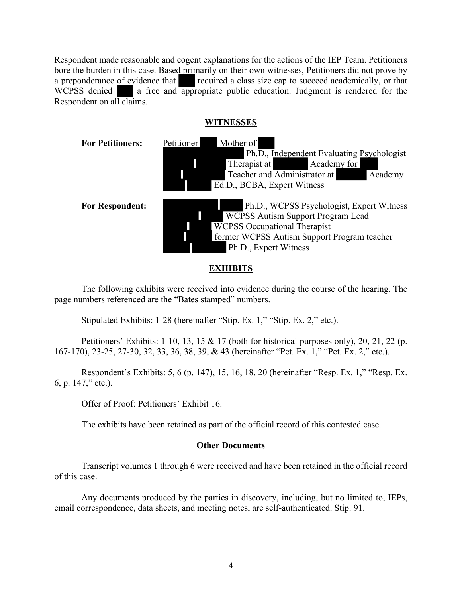Respondent made reasonable and cogent explanations for the actions of the IEP Team. Petitioners bore the burden in this case. Based primarily on their own witnesses, Petitioners did not prove by a preponderance of evidence that required a class size cap to succeed academically, or that WCPSS denied a free and appropriate public education. Judgment is rendered for the Respondent on all claims.

# **WITNESSES**



# **EXHIBITS**

The following exhibits were received into evidence during the course of the hearing. The page numbers referenced are the "Bates stamped" numbers.

Stipulated Exhibits: 1-28 (hereinafter "Stip. Ex. 1," "Stip. Ex. 2," etc.).

Petitioners' Exhibits: 1-10, 13, 15 & 17 (both for historical purposes only), 20, 21, 22 (p. 167-170), 23-25, 27-30, 32, 33, 36, 38, 39, & 43 (hereinafter "Pet. Ex. 1," "Pet. Ex. 2," etc.).

Respondent's Exhibits: 5, 6 (p. 147), 15, 16, 18, 20 (hereinafter "Resp. Ex. 1," "Resp. Ex. 6, p. 147," etc.).

Offer of Proof: Petitioners' Exhibit 16.

The exhibits have been retained as part of the official record of this contested case.

#### **Other Documents**

Transcript volumes 1 through 6 were received and have been retained in the official record of this case.

Any documents produced by the parties in discovery, including, but no limited to, IEPs, email correspondence, data sheets, and meeting notes, are self-authenticated. Stip. 91.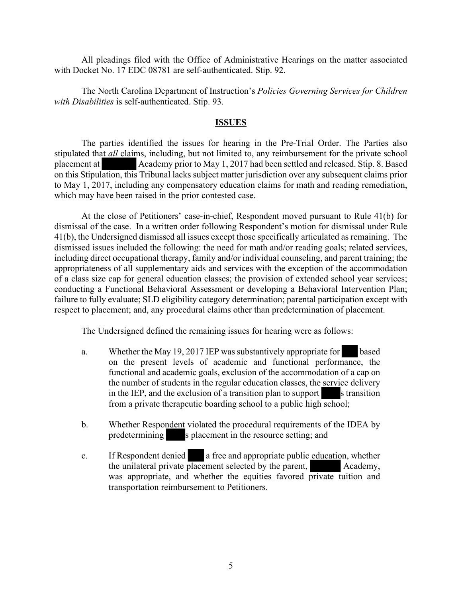All pleadings filed with the Office of Administrative Hearings on the matter associated with Docket No. 17 EDC 08781 are self-authenticated. Stip. 92.

The North Carolina Department of Instruction's *Policies Governing Services for Children with Disabilities* is self-authenticated. Stip. 93.

#### **ISSUES**

The parties identified the issues for hearing in the Pre-Trial Order. The Parties also stipulated that *all* claims, including, but not limited to, any reimbursement for the private school placement at Academy prior to May 1, 2017 had been settled and released. Stip. 8. Based on this Stipulation, this Tribunal lacks subject matter jurisdiction over any subsequent claims prior to May 1, 2017, including any compensatory education claims for math and reading remediation, which may have been raised in the prior contested case.

At the close of Petitioners' case-in-chief, Respondent moved pursuant to Rule 41(b) for dismissal of the case. In a written order following Respondent's motion for dismissal under Rule 41(b), the Undersigned dismissed all issues except those specifically articulated as remaining. The dismissed issues included the following: the need for math and/or reading goals; related services, including direct occupational therapy, family and/or individual counseling, and parent training; the appropriateness of all supplementary aids and services with the exception of the accommodation of a class size cap for general education classes; the provision of extended school year services; conducting a Functional Behavioral Assessment or developing a Behavioral Intervention Plan; failure to fully evaluate; SLD eligibility category determination; parental participation except with respect to placement; and, any procedural claims other than predetermination of placement.

The Undersigned defined the remaining issues for hearing were as follows:

- a. Whether the May 19, 2017 IEP was substantively appropriate for based on the present levels of academic and functional performance, the functional and academic goals, exclusion of the accommodation of a cap on the number of students in the regular education classes, the service delivery in the IEP, and the exclusion of a transition plan to support  $\blacksquare$  s transition from a private therapeutic boarding school to a public high school;
- b. Whether Respondent violated the procedural requirements of the IDEA by predetermining s placement in the resource setting; and
- c. If Respondent denied a free and appropriate public education, whether the unilateral private placement selected by the parent, Academy, was appropriate, and whether the equities favored private tuition and transportation reimbursement to Petitioners.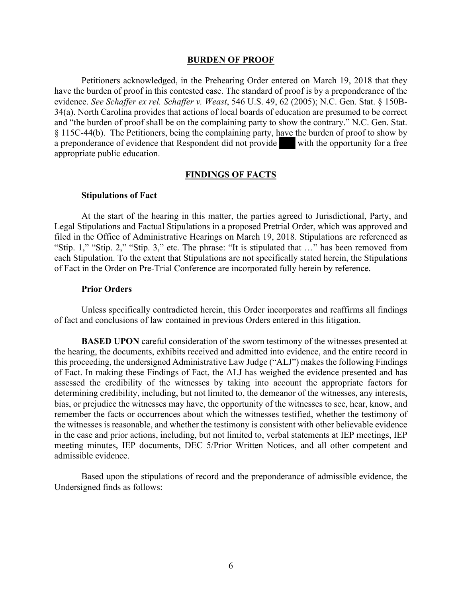#### **BURDEN OF PROOF**

Petitioners acknowledged, in the Prehearing Order entered on March 19, 2018 that they have the burden of proof in this contested case. The standard of proof is by a preponderance of the evidence. *See Schaffer ex rel. Schaffer v. Weast*, 546 U.S. 49, 62 (2005); N.C. Gen. Stat. § 150B-34(a). North Carolina provides that actions of local boards of education are presumed to be correct and "the burden of proof shall be on the complaining party to show the contrary." N.C. Gen. Stat. § 115C-44(b). The Petitioners, being the complaining party, have the burden of proof to show by a preponderance of evidence that Respondent did not provide with the opportunity for a free appropriate public education.

#### **FINDINGS OF FACTS**

#### **Stipulations of Fact**

At the start of the hearing in this matter, the parties agreed to Jurisdictional, Party, and Legal Stipulations and Factual Stipulations in a proposed Pretrial Order, which was approved and filed in the Office of Administrative Hearings on March 19, 2018. Stipulations are referenced as "Stip. 1," "Stip. 2," "Stip. 3," etc. The phrase: "It is stipulated that …" has been removed from each Stipulation. To the extent that Stipulations are not specifically stated herein, the Stipulations of Fact in the Order on Pre-Trial Conference are incorporated fully herein by reference.

#### **Prior Orders**

Unless specifically contradicted herein, this Order incorporates and reaffirms all findings of fact and conclusions of law contained in previous Orders entered in this litigation.

**BASED UPON** careful consideration of the sworn testimony of the witnesses presented at the hearing, the documents, exhibits received and admitted into evidence, and the entire record in this proceeding, the undersigned Administrative Law Judge ("ALJ") makes the following Findings of Fact. In making these Findings of Fact, the ALJ has weighed the evidence presented and has assessed the credibility of the witnesses by taking into account the appropriate factors for determining credibility, including, but not limited to, the demeanor of the witnesses, any interests, bias, or prejudice the witnesses may have, the opportunity of the witnesses to see, hear, know, and remember the facts or occurrences about which the witnesses testified, whether the testimony of the witnesses is reasonable, and whether the testimony is consistent with other believable evidence in the case and prior actions, including, but not limited to, verbal statements at IEP meetings, IEP meeting minutes, IEP documents, DEC 5/Prior Written Notices, and all other competent and admissible evidence.

Based upon the stipulations of record and the preponderance of admissible evidence, the Undersigned finds as follows: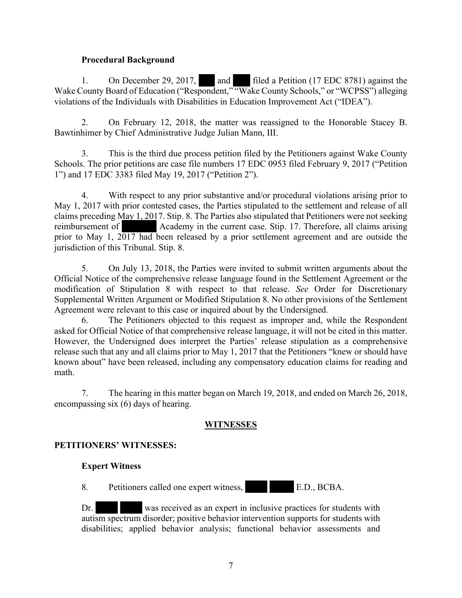#### **Procedural Background**

1. On December 29, 2017, and filed a Petition (17 EDC 8781) against the Wake County Board of Education ("Respondent," "Wake County Schools," or "WCPSS") alleging violations of the Individuals with Disabilities in Education Improvement Act ("IDEA").

2. On February 12, 2018, the matter was reassigned to the Honorable Stacey B. Bawtinhimer by Chief Administrative Judge Julian Mann, III.

3. This is the third due process petition filed by the Petitioners against Wake County Schools. The prior petitions are case file numbers 17 EDC 0953 filed February 9, 2017 ("Petition 1") and 17 EDC 3383 filed May 19, 2017 ("Petition 2").

4. With respect to any prior substantive and/or procedural violations arising prior to May 1, 2017 with prior contested cases, the Parties stipulated to the settlement and release of all claims preceding May 1, 2017. Stip. 8. The Parties also stipulated that Petitioners were not seeking reimbursement of Academy in the current case. Stip. 17. Therefore, all claims arising prior to May 1, 2017 had been released by a prior settlement agreement and are outside the jurisdiction of this Tribunal. Stip. 8.

5. On July 13, 2018, the Parties were invited to submit written arguments about the Official Notice of the comprehensive release language found in the Settlement Agreement or the modification of Stipulation 8 with respect to that release. *See* Order for Discretionary Supplemental Written Argument or Modified Stipulation 8. No other provisions of the Settlement Agreement were relevant to this case or inquired about by the Undersigned.

6. The Petitioners objected to this request as improper and, while the Respondent asked for Official Notice of that comprehensive release language, it will not be cited in this matter. However, the Undersigned does interpret the Parties' release stipulation as a comprehensive release such that any and all claims prior to May 1, 2017 that the Petitioners "knew or should have known about" have been released, including any compensatory education claims for reading and math.

7. The hearing in this matter began on March 19, 2018, and ended on March 26, 2018, encompassing six (6) days of hearing.

# **WITNESSES**

# **PETITIONERS' WITNESSES:**

# **Expert Witness**

8. Petitioners called one expert witness, E.D., BCBA.

Dr. was received as an expert in inclusive practices for students with autism spectrum disorder; positive behavior intervention supports for students with disabilities; applied behavior analysis; functional behavior assessments and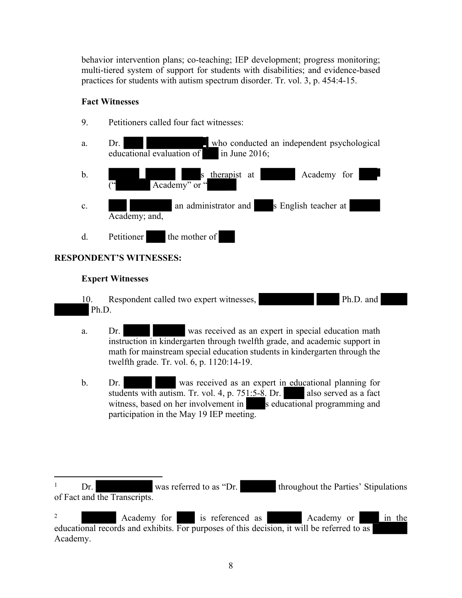behavior intervention plans; co-teaching; IEP development; progress monitoring; multi-tiered system of support for students with disabilities; and evidence-based practices for students with autism spectrum disorder. Tr. vol. 3, p. 454:4-15.

#### **Fact Witnesses**



#### **RESPONDENT'S WITNESSES:**

#### **Expert Witnesses**

10. Respondent called two expert witnesses, Ph.D. and Ph.D.

- a. Dr. was received as an expert in special education math instruction in kindergarten through twelfth grade, and academic support in math for mainstream special education students in kindergarten through the twelfth grade. Tr. vol. 6, p. 1120:14-19.
- b. Dr. Was received as an expert in educational planning for students with autism. Tr. vol. 4, p.  $751:5-8$ . Dr. also served as a fact witness, based on her involvement in s educational programming and participation in the May 19 IEP meeting.

<sup>&</sup>lt;sup>1</sup> Dr. was referred to as "Dr. throughout the Parties' Stipulations of Fact and the Transcripts.

<sup>&</sup>lt;sup>2</sup> Academy for is referenced as Academy or in the educational records and exhibits. For purposes of this decision, it will be referred to as Academy.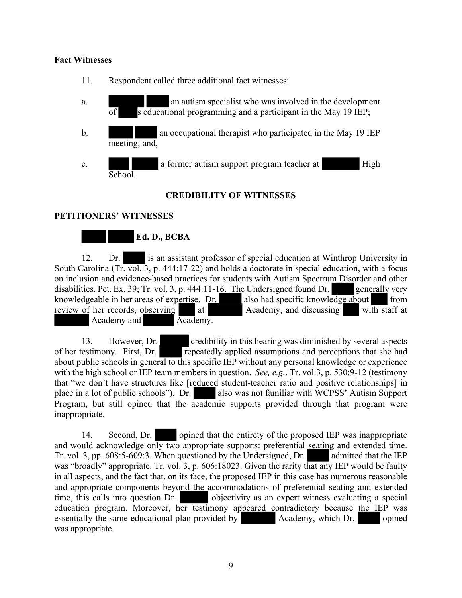#### **Fact Witnesses**

- 11. Respondent called three additional fact witnesses:
- a. an autism specialist who was involved in the development  $\overline{\text{of}}$  s educational programming and a participant in the May 19 IEP;
- b. an occupational therapist who participated in the May 19 IEP meeting; and,
- c. a former autism support program teacher at High School.

# **CREDIBILITY OF WITNESSES**

#### **PETITIONERS' WITNESSES**



12. Dr. is an assistant professor of special education at Winthrop University in South Carolina (Tr. vol. 3, p. 444:17-22) and holds a doctorate in special education, with a focus on inclusion and evidence-based practices for students with Autism Spectrum Disorder and other disabilities. Pet. Ex. 39; Tr. vol. 3, p. 444:11-16. The Undersigned found Dr. generally very knowledgeable in her areas of expertise. Dr. also had specific knowledge about from review of her records, observing at at Academy, and discussing with staff at Academy and Academy.

13. However, Dr. credibility in this hearing was diminished by several aspects of her testimony. First, Dr. repeatedly applied assumptions and perceptions that she had about public schools in general to this specific IEP without any personal knowledge or experience with the high school or IEP team members in question. *See, e.g.*, Tr. vol.3, p. 530:9-12 (testimony that "we don't have structures like [reduced student-teacher ratio and positive relationships] in place in a lot of public schools"). Dr. also was not familiar with WCPSS' Autism Support Program, but still opined that the academic supports provided through that program were inappropriate.

14. Second, Dr. opined that the entirety of the proposed IEP was inappropriate and would acknowledge only two appropriate supports: preferential seating and extended time. Tr. vol. 3, pp. 608:5-609:3. When questioned by the Undersigned, Dr. admitted that the IEP was "broadly" appropriate. Tr. vol. 3, p. 606:18023. Given the rarity that any IEP would be faulty in all aspects, and the fact that, on its face, the proposed IEP in this case has numerous reasonable and appropriate components beyond the accommodations of preferential seating and extended time, this calls into question Dr. objectivity as an expert witness evaluating a special education program. Moreover, her testimony appeared contradictory because the IEP was essentially the same educational plan provided by Academy, which Dr. opined was appropriate.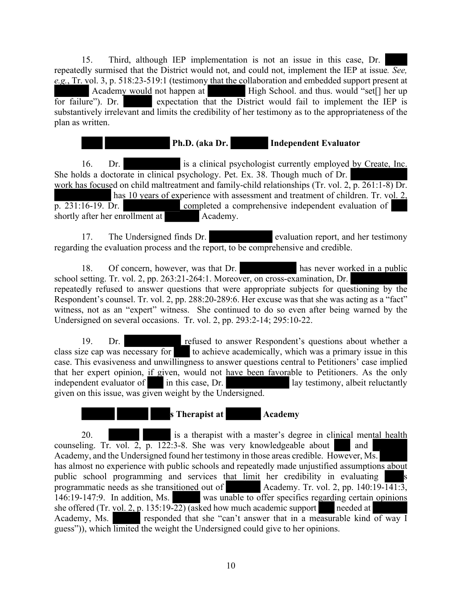15. Third, although IEP implementation is not an issue in this case, Dr. repeatedly surmised that the District would not, and could not, implement the IEP at issue*. See, e.g.*, Tr. vol. 3, p. 518:23-519:1 (testimony that the collaboration and embedded support present at Academy would not happen at High School. and thus. would "set[] her up for failure"). Dr. expectation that the District would fail to implement the IEP is substantively irrelevant and limits the credibility of her testimony as to the appropriateness of the plan as written.

 **Ph.D. (aka Dr. Independent Evaluator**

16. Dr. is a clinical psychologist currently employed by Create, Inc. She holds a doctorate in clinical psychology. Pet. Ex. 38. Though much of Dr. work has focused on child maltreatment and family-child relationships (Tr. vol. 2, p. 261:1-8) Dr. has 10 years of experience with assessment and treatment of children. Tr. vol. 2, p. 231:16-19. Dr. completed a comprehensive independent evaluation of shortly after her enrollment at Academy.

17. The Undersigned finds Dr. evaluation report, and her testimony regarding the evaluation process and the report, to be comprehensive and credible.

18. Of concern, however, was that Dr. has never worked in a public school setting. Tr. vol. 2, pp. 263:21-264:1. Moreover, on cross-examination, Dr. repeatedly refused to answer questions that were appropriate subjects for questioning by the Respondent's counsel. Tr. vol. 2, pp. 288:20-289:6. Her excuse was that she was acting as a "fact" witness, not as an "expert" witness. She continued to do so even after being warned by the Undersigned on several occasions. Tr. vol. 2, pp. 293:2-14; 295:10-22.

19. Dr. refused to answer Respondent's questions about whether a class size cap was necessary for to achieve academically, which was a primary issue in this case. This evasiveness and unwillingness to answer questions central to Petitioners' case implied that her expert opinion, if given, would not have been favorable to Petitioners. As the only independent evaluator of in this case, Dr. lay testimony, albeit reluctantly given on this issue, was given weight by the Undersigned.

**s** Therapist at **Academy** 

20. is a therapist with a master's degree in clinical mental health counseling. Tr. vol. 2,  $\overline{p}$ . 122:3-8. She was very knowledgeable about and Academy, and the Undersigned found her testimony in those areas credible. However, Ms. has almost no experience with public schools and repeatedly made unjustified assumptions about public school programming and services that limit her credibility in evaluating s<br>programmatic needs as she transitioned out of Academy. Tr. vol. 2, pp. 140:19-141:3, programmatic needs as she transitioned out of 146:19-147:9. In addition, Ms. was unable to offer specifics regarding certain opinions she offered (Tr. vol. 2, p. 135:19-22) (asked how much academic support needed at Academy, Ms. responded that she "can't answer that in a measurable kind of way I guess")), which limited the weight the Undersigned could give to her opinions.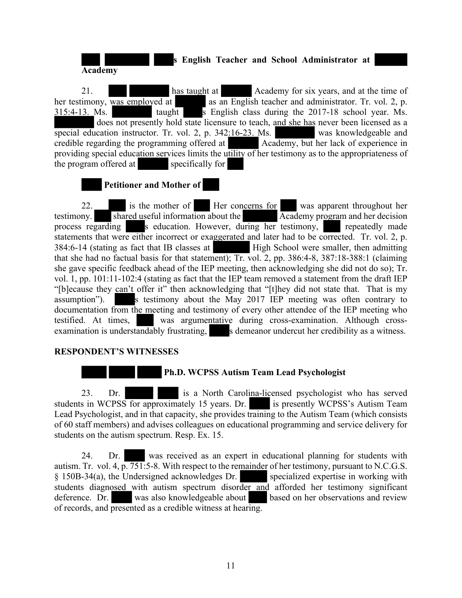**s English Teacher and School Administrator at Academy**

21. has taught at Academy for six years, and at the time of her testimony, was employed at as an English teacher and administrator. Tr. vol. 2, p. 315:4-13. Ms. taught s English class during the 2017-18 school year. Ms. does not presently hold state licensure to teach, and she has never been licensed as a special education instructor. Tr. vol. 2, p. 342:16-23. Ms. was knowledgeable and credible regarding the programming offered at Academy, but her lack of experience in providing special education services limits the utility of her testimony as to the appropriateness of the program offered at specifically for

# **Petitioner and Mother of**

22. is the mother of Her concerns for was apparent throughout her testimony.  $\overline{\text{shared}}$  useful information about the  $\overline{\text{Acad}}$  Academy program and her decision process regarding s education. However, during her testimony, repeatedly made statements that were either incorrect or exaggerated and later had to be corrected. Tr. vol. 2, p. 384:6-14 (stating as fact that IB classes at High School were smaller, then admitting that she had no factual basis for that statement); Tr. vol. 2, pp. 386:4-8, 387:18-388:1 (claiming she gave specific feedback ahead of the IEP meeting, then acknowledging she did not do so); Tr. vol. 1, pp. 101:11-102:4 (stating as fact that the IEP team removed a statement from the draft IEP "[b]ecause they can't offer it" then acknowledging that "[t]hey did not state that. That is my assumption"). S testimony about the May 2017 IEP meeting was often contrary to documentation from the meeting and testimony of every other attendee of the IEP meeting who testified. At times, was argumentative during cross-examination. Although crossexamination is understandably frustrating, s demeanor undercut her credibility as a witness.

# **RESPONDENT'S WITNESSES**

# **Ph.D. WCPSS Autism Team Lead Psychologist**

23. Dr. **is a North Carolina-licensed psychologist who has served** students in WCPSS for approximately 15 years. Dr. is presently WCPSS's Autism Team Lead Psychologist, and in that capacity, she provides training to the Autism Team (which consists of 60 staff members) and advises colleagues on educational programming and service delivery for students on the autism spectrum. Resp. Ex. 15.

24. Dr. was received as an expert in educational planning for students with autism. Tr. vol. 4, p. 751:5-8. With respect to the remainder of her testimony, pursuant to N.C.G.S. § 150B-34(a), the Undersigned acknowledges Dr. specialized expertise in working with students diagnosed with autism spectrum disorder and afforded her testimony significant deference. Dr. was also knowledgeable about based on her observations and review of records, and presented as a credible witness at hearing.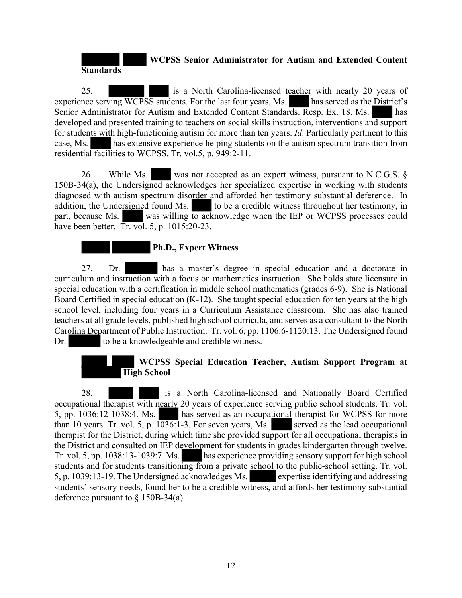#### **WCPSS Senior Administrator for Autism and Extended Content Standards**

25. is a North Carolina-licensed teacher with nearly 20 years of experience serving WCPSS students. For the last four years, Ms. has served as the District's Senior Administrator for Autism and Extended Content Standards. Resp. Ex. 18. Ms. has developed and presented training to teachers on social skills instruction, interventions and support for students with high-functioning autism for more than ten years. *Id*. Particularly pertinent to this case, Ms. has extensive experience helping students on the autism spectrum transition from residential facilities to WCPSS. Tr. vol.5, p. 949:2-11.

26. While Ms. was not accepted as an expert witness, pursuant to N.C.G.S. § 150B-34(a), the Undersigned acknowledges her specialized expertise in working with students diagnosed with autism spectrum disorder and afforded her testimony substantial deference. In addition, the Undersigned found Ms. to be a credible witness throughout her testimony, in part, because Ms. was willing to acknowledge when the IEP or WCPSS processes could have been better. Tr. vol. 5, p. 1015:20-23.

# **Ph.D., Expert Witness**

27. Dr. has a master's degree in special education and a doctorate in curriculum and instruction with a focus on mathematics instruction. She holds state licensure in special education with a certification in middle school mathematics (grades 6-9). She is National Board Certified in special education (K-12). She taught special education for ten years at the high school level, including four years in a Curriculum Assistance classroom. She has also trained teachers at all grade levels, published high school curricula, and serves as a consultant to the North Carolina Department of Public Instruction. Tr. vol. 6, pp. 1106:6-1120:13. The Undersigned found Dr. to be a knowledgeable and credible witness.

# **WCPSS Special Education Teacher, Autism Support Program at High School**

28. is a North Carolina-licensed and Nationally Board Certified occupational therapist with nearly 20 years of experience serving public school students. Tr. vol. 5, pp. 1036:12-1038:4. Ms. has served as an occupational therapist for WCPSS for more than 10 years. Tr. vol. 5, p.  $1036:1-3$ . For seven years, Ms. served as the lead occupational therapist for the District, during which time she provided support for all occupational therapists in the District and consulted on IEP development for students in grades kindergarten through twelve. Tr. vol. 5, pp. 1038:13-1039:7. Ms. has experience providing sensory support for high school students and for students transitioning from a private school to the public-school setting. Tr. vol. 5, p. 1039:13-19. The Undersigned acknowledges Ms. expertise identifying and addressing students' sensory needs, found her to be a credible witness, and affords her testimony substantial deference pursuant to § 150B-34(a).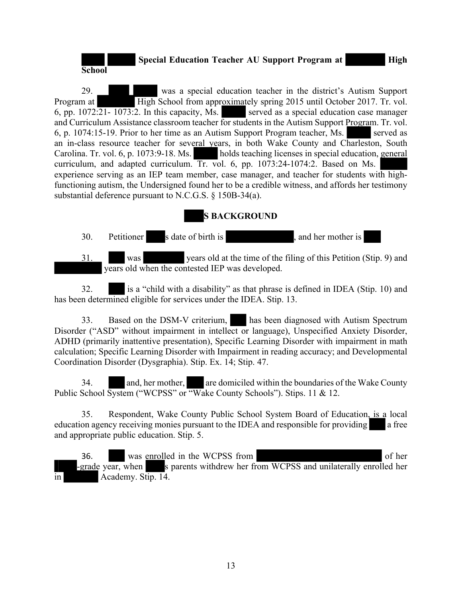# **Special Education Teacher AU Support Program at High**

**School**

29. was a special education teacher in the district's Autism Support Program at High School from approximately spring 2015 until October 2017. Tr. vol. 6, pp.  $1072:\overline{21-1073}:$  In this capacity, Ms. served as a special education case manager and Curriculum Assistance classroom teacher for students in the Autism Support Program. Tr. vol. 6, p. 1074:15-19. Prior to her time as an Autism Support Program teacher, Ms. served as an in-class resource teacher for several years, in both Wake County and Charleston, South Carolina. Tr. vol. 6, p. 1073:9-18. Ms. holds teaching licenses in special education, general curriculum, and adapted curriculum. Tr. vol. 6, pp. 1073:24-1074:2. Based on Ms. experience serving as an IEP team member, case manager, and teacher for students with highfunctioning autism, the Undersigned found her to be a credible witness, and affords her testimony substantial deference pursuant to N.C.G.S. § 150B-34(a).

# **S BACKGROUND**

30. Petitioner s date of birth is , and her mother is 31. was years old at the time of the filing of this Petition (Stip. 9) and years old when the contested IEP was developed.

32. is a "child with a disability" as that phrase is defined in IDEA (Stip. 10) and has been determined eligible for services under the IDEA. Stip. 13.

33. Based on the DSM-V criterium, has been diagnosed with Autism Spectrum Disorder ("ASD" without impairment in intellect or language), Unspecified Anxiety Disorder, ADHD (primarily inattentive presentation), Specific Learning Disorder with impairment in math calculation; Specific Learning Disorder with Impairment in reading accuracy; and Developmental Coordination Disorder (Dysgraphia). Stip. Ex. 14; Stip. 47.

34. **and, her mother,** are domiciled within the boundaries of the Wake County Public School System ("WCPSS" or "Wake County Schools"). Stips. 11 & 12.

35. Respondent, Wake County Public School System Board of Education, is a local education agency receiving monies pursuant to the IDEA and responsible for providing a free and appropriate public education. Stip. 5.

36. was enrolled in the WCPSS from of her -grade year, when s parents withdrew her from WCPSS and unilaterally enrolled her in Academy. Stip. 14.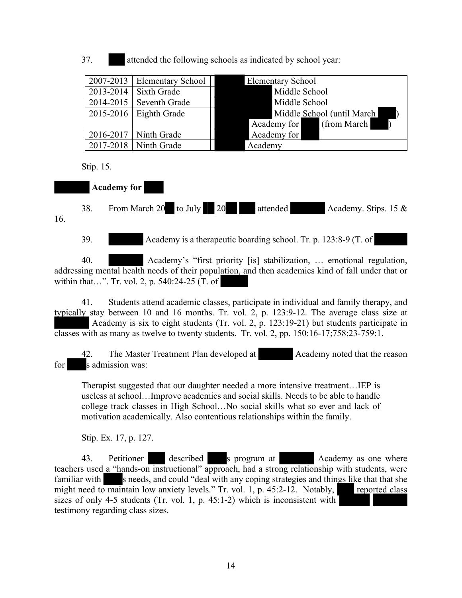37. attended the following schools as indicated by school year:

| $2007-2013$ Elementary School | <b>Elementary School</b>                        |
|-------------------------------|-------------------------------------------------|
| $2013 - 2014$ Sixth Grade     | Middle School                                   |
| $2014 - 2015$ Seventh Grade   | Middle School                                   |
| $2015-2016$ Eighth Grade      | Middle School (until March)                     |
|                               | (from March)<br>Academy for<br>$\blacksquare$ ) |
| $2016 - 2017$ Ninth Grade     | Academy for                                     |
| $2017 - 2018$ Ninth Grade     | Academy                                         |

Stip. 15.

# **Academy for**

38. From March 20 to July 20 attended Academy. Stips. 15 & 16.

39. Academy is a therapeutic boarding school. Tr. p. 123:8-9 (T. of

40. Academy's "first priority [is] stabilization, … emotional regulation, addressing mental health needs of their population, and then academics kind of fall under that or within that…". Tr. vol. 2, p. 540:24-25 (T. of

41. Students attend academic classes, participate in individual and family therapy, and typically stay between 10 and 16 months. Tr. vol. 2, p. 123:9-12. The average class size at Academy is six to eight students (Tr. vol. 2, p. 123:19-21) but students participate in classes with as many as twelve to twenty students. Tr. vol. 2, pp. 150:16-17;758:23-759:1.

42. The Master Treatment Plan developed at Academy noted that the reason for s admission was:

Therapist suggested that our daughter needed a more intensive treatment…IEP is useless at school…Improve academics and social skills. Needs to be able to handle college track classes in High School…No social skills what so ever and lack of motivation academically. Also contentious relationships within the family.

Stip. Ex. 17, p. 127.

43. Petitioner described s program at Academy as one where teachers used a "hands-on instructional" approach, had a strong relationship with students, were familiar with s needs, and could "deal with any coping strategies and things like that that she might need to maintain low anxiety levels." Tr. vol. 1, p. 45:2-12. Notably, reported class sizes of only 4-5 students (Tr. vol. 1, p. 45:1-2) which is inconsistent with testimony regarding class sizes.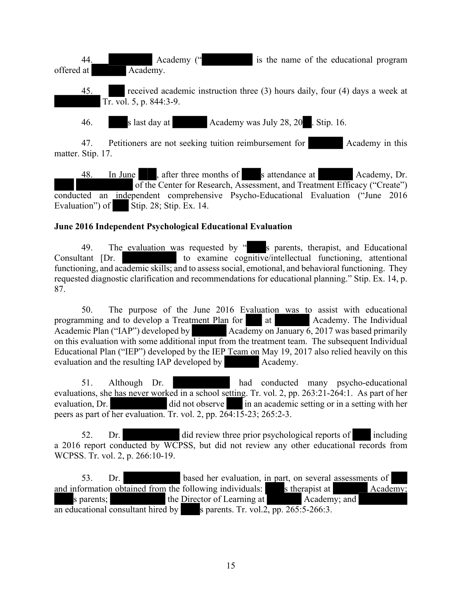44. Academy (" is the name of the educational program offered at Academy.

45. received academic instruction three (3) hours daily, four (4) days a week at Tr. vol. 5, p. 844:3-9.

46. s last day at Academy was July 28, 20 . Stip. 16.

47. Petitioners are not seeking tuition reimbursement for Academy in this matter. Stip. 17.

48. In June , after three months of s attendance at Academy, Dr. of the Center for Research, Assessment, and Treatment Efficacy ("Create") conducted an independent comprehensive Psycho-Educational Evaluation ("June 2016 Evaluation") of Stip. 28; Stip. Ex. 14.

# **June 2016 Independent Psychological Educational Evaluation**

49. The evaluation was requested by " s parents, therapist, and Educational Consultant [Dr. to examine cognitive/intellectual functioning, attentional functioning, and academic skills; and to assess social, emotional, and behavioral functioning. They requested diagnostic clarification and recommendations for educational planning." Stip. Ex. 14, p. 87.

50. The purpose of the June 2016 Evaluation was to assist with educational programming and to develop a Treatment Plan for at at Academy. The Individual Academic Plan ("IAP") developed by Academy on January 6, 2017 was based primarily Academy on January 6, 2017 was based primarily on this evaluation with some additional input from the treatment team. The subsequent Individual Educational Plan ("IEP") developed by the IEP Team on May 19, 2017 also relied heavily on this evaluation and the resulting IAP developed by Academy.

51. Although Dr. had conducted many psycho-educational evaluations, she has never worked in a school setting. Tr. vol. 2, pp. 263:21-264:1. As part of her evaluation, Dr. did not observe in an academic setting or in a setting with her peers as part of her evaluation. Tr. vol. 2, pp. 264:15-23; 265:2-3.

52. Dr. did review three prior psychological reports of including a 2016 report conducted by WCPSS, but did not review any other educational records from WCPSS. Tr. vol. 2, p. 266:10-19.

53. Dr. based her evaluation, in part, on several assessments of and information obtained from the following individuals: s therapist at Academy; s parents; the Director of Learning at Academy; and an educational consultant hired by s parents. Tr. vol.2,  $pp. 265:5-266:3$ .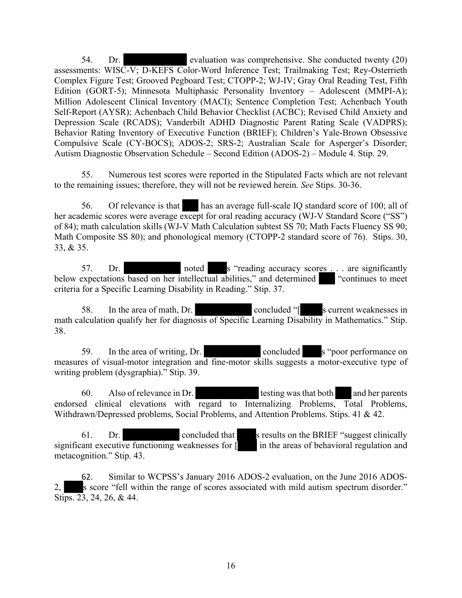54. Dr. evaluation was comprehensive. She conducted twenty (20) assessments: WISC-V; D-KEFS Color-Word Inference Test; Trailmaking Test; Rey-Osterrieth Complex Figure Test; Grooved Pegboard Test; CTOPP-2; WJ-IV; Gray Oral Reading Test, Fifth Edition (GORT-5); Minnesota Multiphasic Personality Inventory – Adolescent (MMPI-A); Million Adolescent Clinical Inventory (MACI); Sentence Completion Test; Achenbach Youth Self-Report (AYSR); Achenbach Child Behavior Checklist (ACBC); Revised Child Anxiety and Depression Scale (RCADS); Vanderbilt ADHD Diagnostic Parent Rating Scale (VADPRS); Behavior Rating Inventory of Executive Function (BRIEF); Children's Yale-Brown Obsessive Compulsive Scale (CY-BOCS); ADOS-2; SRS-2; Australian Scale for Asperger's Disorder; Autism Diagnostic Observation Schedule – Second Edition (ADOS-2) – Module 4. Stip. 29.

55. Numerous test scores were reported in the Stipulated Facts which are not relevant to the remaining issues; therefore, they will not be reviewed herein. *See* Stips. 30-36.

56. Of relevance is that has an average full-scale IQ standard score of 100; all of her academic scores were average except for oral reading accuracy (WJ-V Standard Score ("SS") of 84); math calculation skills (WJ-V Math Calculation subtest SS 70; Math Facts Fluency SS 90; Math Composite SS 80); and phonological memory (CTOPP-2 standard score of 76). Stips. 30, 33, & 35.

57. Dr. noted s "reading accuracy scores . . . are significantly below expectations based on her intellectual abilities," and determined "continues to meet criteria for a Specific Learning Disability in Reading." Stip. 37.

58. In the area of math, Dr. concluded "[ s current weaknesses in math calculation qualify her for diagnosis of Specific Learning Disability in Mathematics." Stip. 38.

59. In the area of writing, Dr. concluded s "poor performance on measures of visual-motor integration and fine-motor skills suggests a motor-executive type of writing problem (dysgraphia)." Stip. 39.

60. Also of relevance in Dr. testing was that both and her parents endorsed clinical elevations with regard to Internalizing Problems, Total Problems, Withdrawn/Depressed problems, Social Problems, and Attention Problems. Stips. 41 & 42.

61. Dr. concluded that s results on the BRIEF "suggest clinically significant executive functioning weaknesses for  $\parallel$  in the areas of behavioral regulation and metacognition." Stip. 43.

62. Similar to WCPSS's January 2016 ADOS-2 evaluation, on the June 2016 ADOS-2, s score "fell within the range of scores associated with mild autism spectrum disorder." Stips. 23, 24, 26, & 44.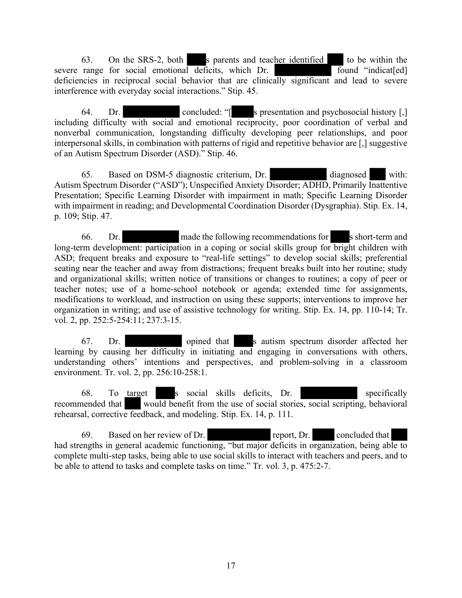63. On the SRS-2, both s parents and teacher identified to be within the severe range for social emotional deficits, which Dr. found "indicat[ed] deficiencies in reciprocal social behavior that are clinically significant and lead to severe interference with everyday social interactions." Stip. 45.

64. Dr. concluded: "[ s presentation and psychosocial history [,] including difficulty with social and emotional reciprocity, poor coordination of verbal and nonverbal communication, longstanding difficulty developing peer relationships, and poor interpersonal skills, in combination with patterns of rigid and repetitive behavior are [,] suggestive of an Autism Spectrum Disorder (ASD)." Stip. 46.

65. Based on DSM-5 diagnostic criterium, Dr. diagnosed with: Autism Spectrum Disorder ("ASD"); Unspecified Anxiety Disorder; ADHD, Primarily Inattentive Presentation; Specific Learning Disorder with impairment in math; Specific Learning Disorder with impairment in reading; and Developmental Coordination Disorder (Dysgraphia). Stip. Ex. 14, p. 109; Stip. 47.

66. Dr. made the following recommendations for s short-term and long-term development: participation in a coping or social skills group for bright children with ASD; frequent breaks and exposure to "real-life settings" to develop social skills; preferential seating near the teacher and away from distractions; frequent breaks built into her routine; study and organizational skills; written notice of transitions or changes to routines; a copy of peer or teacher notes; use of a home-school notebook or agenda; extended time for assignments, modifications to workload, and instruction on using these supports; interventions to improve her organization in writing; and use of assistive technology for writing. Stip. Ex. 14, pp. 110-14; Tr. vol. 2, pp. 252:5-254:11; 237:3-15.

67. Dr. opined that s autism spectrum disorder affected her learning by causing her difficulty in initiating and engaging in conversations with others, understanding others' intentions and perspectives, and problem-solving in a classroom environment. Tr. vol. 2, pp. 256:10-258:1.

68. To target s social skills deficits, Dr. specifically recommended that would benefit from the use of social stories, social scripting, behavioral rehearsal, corrective feedback, and modeling. Stip. Ex. 14, p. 111.

69. Based on her review of Dr. report, Dr. concluded that had strengths in general academic functioning, "but major deficits in organization, being able to complete multi-step tasks, being able to use social skills to interact with teachers and peers, and to be able to attend to tasks and complete tasks on time." Tr. vol. 3, p. 475:2-7.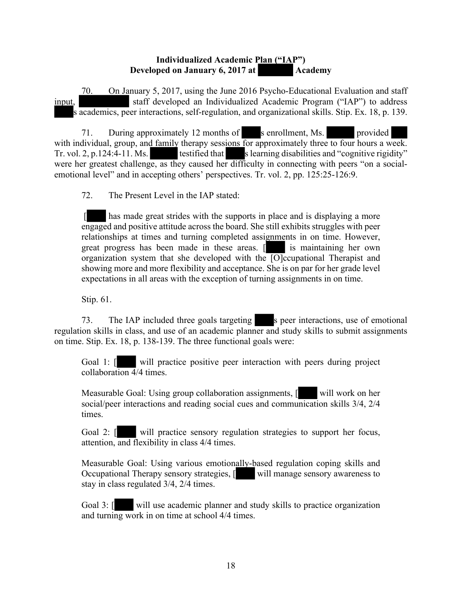#### **Individualized Academic Plan ("IAP") Developed on January 6, 2017 at Academy**

70. On January 5, 2017, using the June 2016 Psycho-Educational Evaluation and staff input, staff developed an Individualized Academic Program ("IAP") to address s academics, peer interactions, self-regulation, and organizational skills. Stip. Ex. 18, p. 139.

71. During approximately 12 months of senrollment, Ms. provided with individual, group, and family therapy sessions for approximately three to four hours a week. Tr. vol. 2, p.124:4-11. Ms. testified that s learning disabilities and "cognitive rigidity" were her greatest challenge, as they caused her difficulty in connecting with peers "on a socialemotional level" and in accepting others' perspectives. Tr. vol. 2, pp. 125:25-126:9.

72. The Present Level in the IAP stated:

 [ has made great strides with the supports in place and is displaying a more engaged and positive attitude across the board. She still exhibits struggles with peer relationships at times and turning completed assignments in on time. However, great progress has been made in these areas. [ is maintaining her own organization system that she developed with the  $\overline{[O]}$ ccupational Therapist and showing more and more flexibility and acceptance. She is on par for her grade level expectations in all areas with the exception of turning assignments in on time.

Stip. 61.

73. The IAP included three goals targeting s peer interactions, use of emotional regulation skills in class, and use of an academic planner and study skills to submit assignments on time. Stip. Ex. 18, p. 138-139. The three functional goals were:

Goal 1: [ will practice positive peer interaction with peers during project collaboration  $\overline{4}/4$  times.

Measurable Goal: Using group collaboration assignments, [ will work on her social/peer interactions and reading social cues and communication skills 3/4, 2/4 times.

Goal 2: [ will practice sensory regulation strategies to support her focus, attention, and flexibility in class 4/4 times.

Measurable Goal: Using various emotionally-based regulation coping skills and Occupational Therapy sensory strategies, [ will manage sensory awareness to stay in class regulated 3/4, 2/4 times.

Goal 3:  $\lceil \cdot \cdot \rceil$  will use academic planner and study skills to practice organization and turning work in on time at school 4/4 times.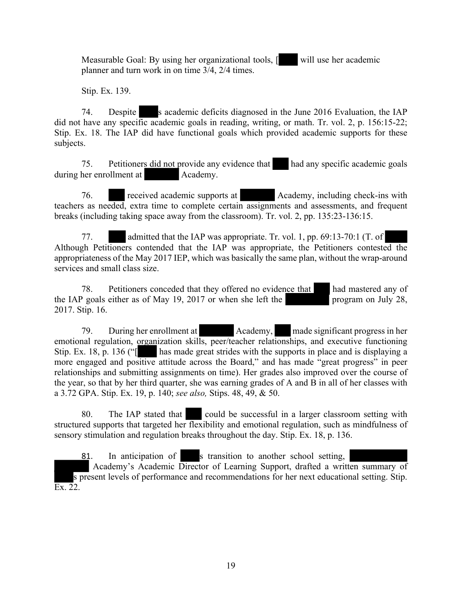Measurable Goal: By using her organizational tools, [ will use her academic planner and turn work in on time 3/4, 2/4 times.

Stip. Ex. 139.

74. Despite s academic deficits diagnosed in the June 2016 Evaluation, the IAP did not have any specific academic goals in reading, writing, or math. Tr. vol. 2, p. 156:15-22; Stip. Ex. 18. The IAP did have functional goals which provided academic supports for these subjects.

75. Petitioners did not provide any evidence that had any specific academic goals during her enrollment at Academy.

76. received academic supports at Academy, including check-ins with teachers as needed, extra time to complete certain assignments and assessments, and frequent breaks (including taking space away from the classroom). Tr. vol. 2, pp. 135:23-136:15.

77. admitted that the IAP was appropriate. Tr. vol. 1, pp. 69:13-70:1 (T. of Although Petitioners contended that the IAP was appropriate, the Petitioners contested the appropriateness of the May 2017 IEP, which was basically the same plan, without the wrap-around services and small class size.

78. Petitioners conceded that they offered no evidence that had mastered any of the IAP goals either as of May 19, 2017 or when she left the program on July 28, 2017. Stip. 16.

79. During her enrollment at Academy, made significant progress in her emotional regulation, organization skills, peer/teacher relationships, and executive functioning Stip. Ex. 18, p. 136 ("[ has made great strides with the supports in place and is displaying a more engaged and positive attitude across the Board," and has made "great progress" in peer relationships and submitting assignments on time). Her grades also improved over the course of the year, so that by her third quarter, she was earning grades of A and B in all of her classes with a 3.72 GPA. Stip. Ex. 19, p. 140; *see also,* Stips. 48, 49, & 50.

80. The IAP stated that could be successful in a larger classroom setting with structured supports that targeted her flexibility and emotional regulation, such as mindfulness of sensory stimulation and regulation breaks throughout the day. Stip. Ex. 18, p. 136.

81. In anticipation of s transition to another school setting, Academy's Academic Director of Learning Support, drafted a written summary of s present levels of performance and recommendations for her next educational setting. Stip.  $\overline{\text{Ex. 22}}$ .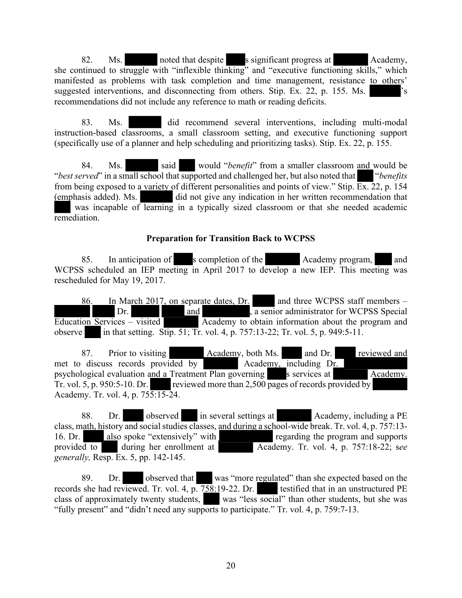82. Ms. noted that despite s significant progress at Academy, she continued to struggle with "inflexible thinking" and "executive functioning skills," which manifested as problems with task completion and time management, resistance to others' suggested interventions, and disconnecting from others. Stip. Ex. 22, p. 155. Ms. 's recommendations did not include any reference to math or reading deficits.

83. Ms. did recommend several interventions, including multi-modal instruction-based classrooms, a small classroom setting, and executive functioning support (specifically use of a planner and help scheduling and prioritizing tasks). Stip. Ex. 22, p. 155.

84. Ms. said would "*benefit*" from a smaller classroom and would be "*best served*" in a small school that supported and challenged her, but also noted that "*benefits* from being exposed to a variety of different personalities and points of view." Stip. Ex. 22, p. 154 (emphasis added). Ms. did not give any indication in her written recommendation that was incapable of learning in a typically sized classroom or that she needed academic remediation.

#### **Preparation for Transition Back to WCPSS**

85. In anticipation of s completion of the Academy program, and WCPSS scheduled an IEP meeting in April 2017 to develop a new IEP. This meeting was rescheduled for May 19, 2017.

86. In March 2017, on separate dates, Dr. and three WCPSS staff members –  $\Delta$ Dr. Dr. and and , a senior administrator for WCPSS Special Education Services – visited Academy to obtain information about the program and observe in that setting. Stip. 51; Tr. vol. 4, p. 757:13-22; Tr. vol. 5, p. 949:5-11.

87. Prior to visiting Academy, both Ms. and Dr. reviewed and met to discuss records provided by Academy, including Dr. psychological evaluation and a Treatment Plan governing s services at Academy. Tr. vol. 5, p. 950:5-10. Dr. reviewed more than 2,500 pages of records provided by Academy. Tr. vol. 4, p. 755:15-24.

88. Dr. observed in several settings at Academy, including a PE class, math, history and social studies classes, and during a school-wide break. Tr. vol. 4, p. 757:13- 16. Dr. also spoke "extensively" with<br>provided to during her enrollment at Academy. Tr. vol. 4, p. 757:18-22; see Academy. Tr. vol. 4, p. 757:18-22; see *generally,* Resp. Ex. 5, pp. 142-145.

89. Dr. observed that was "more regulated" than she expected based on the records she had reviewed. Tr. vol. 4, p. 758:19-22. Dr. testified that in an unstructured PE class of approximately twenty students. was "less social" than other students, but she was was "less social" than other students, but she was "fully present" and "didn't need any supports to participate." Tr. vol. 4, p. 759:7-13.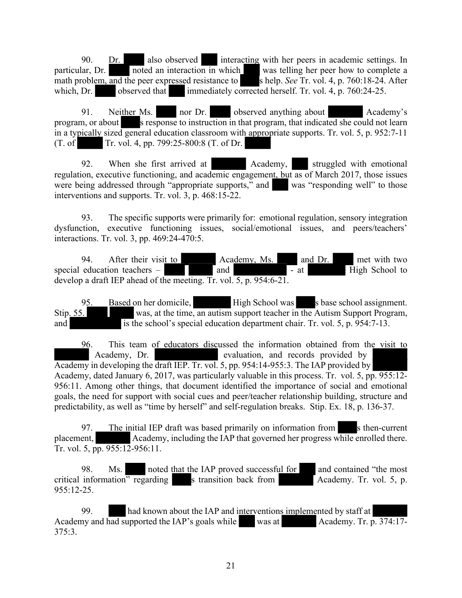90. Dr. also observed interacting with her peers in academic settings. In particular, Dr. noted an interaction in which was telling her peer how to complete a noted an interaction in which was telling her peer how to complete a math problem, and the peer expressed resistance to shelp. *See* Tr. vol. 4, p. 760:18-24. After which, Dr. observed that immediately corrected herself. Tr. vol. 4, p. 760:24-25.

91. Neither Ms. nor Dr. observed anything about Academy's program, or about s response to instruction in that program, that indicated she could not learn in a typically sized general education classroom with appropriate supports. Tr. vol. 5, p. 952:7-11  $(T. of   
Tr. vol. 4, pp. 799:25-800:8 (T. of Dr. )$ 

92. When she first arrived at Academy, struggled with emotional regulation, executive functioning, and academic engagement, but as of March 2017, those issues were being addressed through "appropriate supports," and was "responding well" to those interventions and supports. Tr. vol. 3, p. 468:15-22.

93. The specific supports were primarily for: emotional regulation, sensory integration dysfunction, executive functioning issues, social/emotional issues, and peers/teachers' interactions. Tr. vol. 3, pp. 469:24-470:5.

94. After their visit to Academy, Ms. and Dr. met with two special education teachers  $-$  and  $\overline{\phantom{a}}$  and  $\overline{\phantom{a}}$  at  $\overline{\phantom{a}}$  High School to develop a draft IEP ahead of the meeting. Tr. vol. 5, p. 954:6-21.

95. Based on her domicile, High School was s base school assignment. Stip. 55. was, at the time, an autism support teacher in the Autism Support Program, and is the school's special education department chair. Tr. vol. 5, p. 954:7-13.

96. This team of educators discussed the information obtained from the visit to Academy, Dr. evaluation, and records provided by Academy in developing the draft IEP. Tr. vol. 5, pp. 954:14-955:3. The IAP provided by Academy, dated January 6, 2017, was particularly valuable in this process. Tr. vol. 5, pp. 955:12- 956:11. Among other things, that document identified the importance of social and emotional goals, the need for support with social cues and peer/teacher relationship building, structure and predictability, as well as "time by herself" and self-regulation breaks. Stip. Ex. 18, p. 136-37.

97. The initial IEP draft was based primarily on information from s then-current placement, Academy, including the IAP that governed her progress while enrolled there. Tr. vol. 5, pp. 955:12-956:11.

98. Ms. noted that the IAP proved successful for and contained "the most" critical information<sup>"</sup> regarding s transition back from Academy. Tr. vol. 5, p. 955:12-25.

99. had known about the IAP and interventions implemented by staff at Academy and had supported the IAP's goals while was at Academy. Tr.  $\overline{p. 374:17}$ -375:3.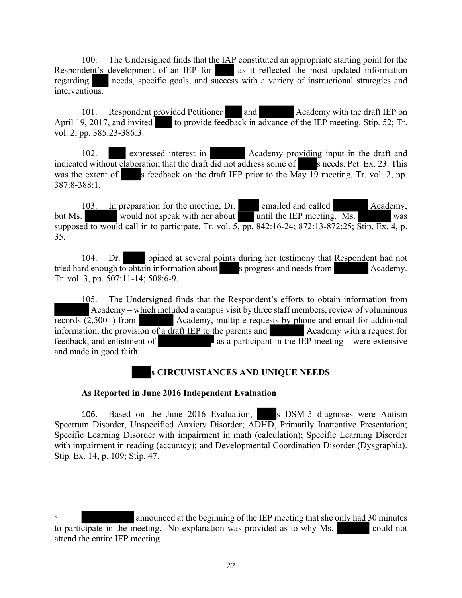100. The Undersigned finds that the IAP constituted an appropriate starting point for the Respondent's development of an IEP for  $\alpha$  as it reflected the most updated information regarding needs, specific goals, and success with a variety of instructional strategies and interventions.

101. Respondent provided Petitioner and Academy with the draft IEP on April 19, 2017, and invited to provide feedback in advance of the IEP meeting. Stip. 52; Tr. vol. 2, pp. 385:23-386:3.

102. expressed interest in Academy providing input in the draft and indicated without elaboration that the draft did not address some of s needs. Pet. Ex. 23. This was the extent of s feedback on the draft IEP prior to the May 19 meeting. Tr. vol. 2, pp. 387:8-388:1.

103. In preparation for the meeting, Dr. emailed and called Academy, but Ms. would not speak with her about until the IEP meeting. Ms. supposed to would call in to participate. Tr. vol. 5, pp. 842:16-24; 872:13-872:25; Stip. Ex. 4, p. 35.

104. Dr. opined at several points during her testimony that Respondent had not tried hard enough to obtain information about s progress and needs from Academy. Tr. vol. 3, pp. 507:11-14; 508:6-9.

105. The Undersigned finds that the Respondent's efforts to obtain information from Academy – which included a campus visit by three staff members, review of voluminous records (2,500+) from Academy, multiple requests by phone and email for additional information, the provision of a draft IEP to the parents and Academy with a request for  $f$ eedback, and enlistment of as a participant in the IEP meeting – were extensive and made in good faith.

# **s CIRCUMSTANCES AND UNIQUE NEEDS**

# **As Reported in June 2016 Independent Evaluation**

106. Based on the June 2016 Evaluation, s DSM-5 diagnoses were Autism Spectrum Disorder, Unspecified Anxiety Disorder; ADHD, Primarily Inattentive Presentation; Specific Learning Disorder with impairment in math (calculation); Specific Learning Disorder with impairment in reading (accuracy); and Developmental Coordination Disorder (Dysgraphia). Stip. Ex. 14, p. 109; Stip. 47.

<sup>3</sup> announced at the beginning of the IEP meeting that she only had 30 minutes to participate in the meeting. No explanation was provided as to why Ms. could not attend the entire IEP meeting.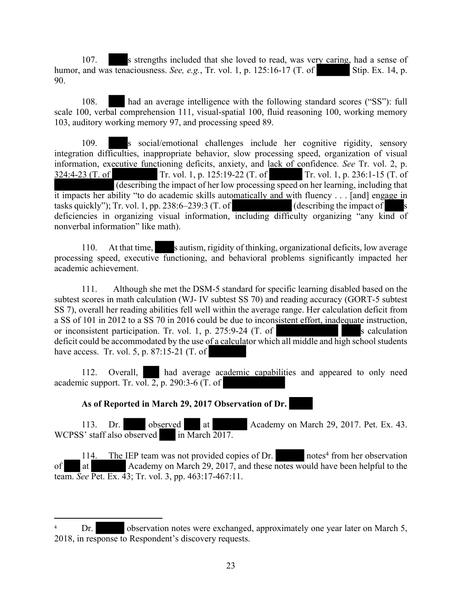107. s strengths included that she loved to read, was very caring, had a sense of humor, and was tenaciousness. *See, e.g.*, Tr. vol. 1, p. 125:16-17 (T. of Stip. Ex. 14, p. 90.

108. had an average intelligence with the following standard scores ("SS"): full scale 100, verbal comprehension 111, visual-spatial 100, fluid reasoning 100, working memory 103, auditory working memory 97, and processing speed 89.

109. s social/emotional challenges include her cognitive rigidity, sensory integration difficulties, inappropriate behavior, slow processing speed, organization of visual information, executive functioning deficits, anxiety, and lack of confidence. *See* Tr. vol. 2, p. 324:4-23 (T. of Tr. vol. 1, p. 125:19-22 (T. of Tr. vol. 1, p. 236:1-15 (T. of (describing the impact of her low processing speed on her learning, including that it impacts her ability "to do academic skills automatically and with fluency . . . [and] engage in tasks quickly"); Tr. vol. 1, pp. 238:6–239:3 (T. of (describing the impact of deficiencies in organizing visual information, including difficulty organizing "any kind of nonverbal information" like math).

110. At that time, s autism, rigidity of thinking, organizational deficits, low average processing speed, executive functioning, and behavioral problems significantly impacted her academic achievement.

111. Although she met the DSM-5 standard for specific learning disabled based on the subtest scores in math calculation (WJ- IV subtest SS 70) and reading accuracy (GORT-5 subtest SS 7), overall her reading abilities fell well within the average range. Her calculation deficit from a SS of 101 in 2012 to a SS 70 in 2016 could be due to inconsistent effort, inadequate instruction, or inconsistent participation. Tr. vol. 1, p.  $275:9-24$  (T. of s calculation deficit could be accommodated by the use of a calculator which all middle and high school students have access. Tr. vol. 5, p. 87:15-21 (T. of

112. Overall, had average academic capabilities and appeared to only need academic support. Tr. vol. 2, p. 290:3-6  $(T, of)$ 

**As of Reported in March 29, 2017 Observation of Dr.** 

113. Dr. observed at Academy on March 29, 2017. Pet. Ex. 43. WCPSS' staff also observed in March 2017.

114. The IEP team was not provided copies of Dr. notes<sup>4</sup> from her observation of at Academy on March 29, 2017, and these notes would have been helpful to the team. *See* Pet. Ex. 43; Tr. vol. 3, pp. 463:17-467:11.

Dr. observation notes were exchanged, approximately one year later on March 5, 2018, in response to Respondent's discovery requests.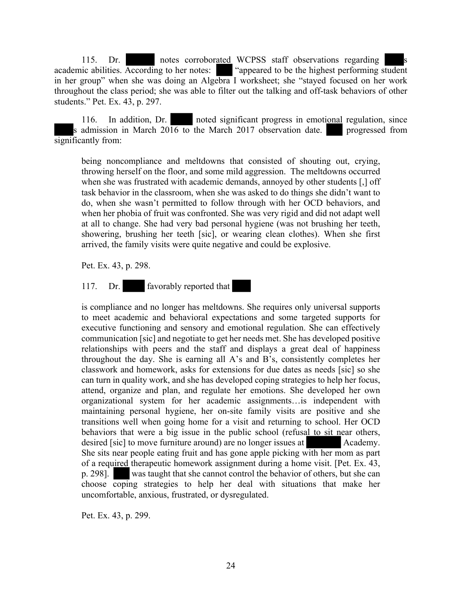115. Dr. notes corroborated WCPSS staff observations regarding s academic abilities. According to her notes: "appeared to be the highest performing student in her group" when she was doing an Algebra I worksheet; she "stayed focused on her work throughout the class period; she was able to filter out the talking and off-task behaviors of other students." Pet. Ex. 43, p. 297.

116. In addition, Dr. noted significant progress in emotional regulation, since s admission in March  $20\overline{16}$  to the March 2017 observation date. progressed from significantly from:

being noncompliance and meltdowns that consisted of shouting out, crying, throwing herself on the floor, and some mild aggression. The meltdowns occurred when she was frustrated with academic demands, annoyed by other students [,] off task behavior in the classroom, when she was asked to do things she didn't want to do, when she wasn't permitted to follow through with her OCD behaviors, and when her phobia of fruit was confronted. She was very rigid and did not adapt well at all to change. She had very bad personal hygiene (was not brushing her teeth, showering, brushing her teeth [sic], or wearing clean clothes). When she first arrived, the family visits were quite negative and could be explosive.

Pet. Ex. 43, p. 298.

117. Dr. favorably reported that

is compliance and no longer has meltdowns. She requires only universal supports to meet academic and behavioral expectations and some targeted supports for executive functioning and sensory and emotional regulation. She can effectively communication [sic] and negotiate to get her needs met. She has developed positive relationships with peers and the staff and displays a great deal of happiness throughout the day. She is earning all A's and B's, consistently completes her classwork and homework, asks for extensions for due dates as needs [sic] so she can turn in quality work, and she has developed coping strategies to help her focus, attend, organize and plan, and regulate her emotions. She developed her own organizational system for her academic assignments…is independent with maintaining personal hygiene, her on-site family visits are positive and she transitions well when going home for a visit and returning to school. Her OCD behaviors that were a big issue in the public school (refusal to sit near others, desired [sic] to move furniture around) are no longer issues at Academy. She sits near people eating fruit and has gone apple picking with her mom as part of a required therapeutic homework assignment during a home visit. [Pet. Ex. 43, p. 298]. was taught that she cannot control the behavior of others, but she can choose coping strategies to help her deal with situations that make her uncomfortable, anxious, frustrated, or dysregulated.

Pet. Ex. 43, p. 299.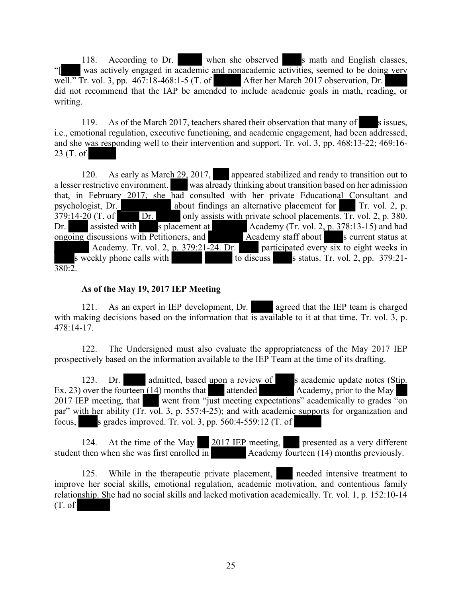118. According to Dr. when she observed s math and English classes, was actively engaged in academic and nonacademic activities, seemed to be doing very well." Tr. vol. 3, pp. 467:18-468:1-5 (T. of After her March 2017 observation, Dr. did not recommend that the IAP be amended to include academic goals in math, reading, or writing.

119. As of the March 2017, teachers shared their observation that many of s issues, i.e., emotional regulation, executive functioning, and academic engagement, had been addressed, and she was responding well to their intervention and support. Tr. vol. 3, pp. 468:13-22; 469:16- 23 (T. of

120. As early as March 29, 2017, appeared stabilized and ready to transition out to a lesser restrictive environment. was already thinking about transition based on her admission that, in February 2017, she had consulted with her private Educational Consultant and psychologist, Dr. about findings an alternative placement for Tr. vol. 2, p. about findings an alternative placement for Tr. vol. 2, p.  $379:14-20$  (T. of Dr. only assists with private school placements. Tr. vol. 2, p. 380. Dr. assisted with s placement at Academy (Tr. vol. 2, p. 378:13-15) and had ongoing discussions with Petitioners, and Academy staff about s current status at Academy. Tr. vol. 2, p. 379:21-24. Dr. participated every six to eight weeks in s weekly phone calls with to discuss status. Tr. vol. 2, pp. 379:21-380:2.

# **As of the May 19, 2017 IEP Meeting**

121. As an expert in IEP development, Dr. agreed that the IEP team is charged with making decisions based on the information that is available to it at that time. Tr. vol. 3, p. 478:14-17.

122. The Undersigned must also evaluate the appropriateness of the May 2017 IEP prospectively based on the information available to the IEP Team at the time of its drafting.

123. Dr. admitted, based upon a review of s academic update notes (Stip. Ex. 23) over the fourteen  $(14)$  months that attended Academy, prior to the May 2017 IEP meeting, that went from "just meeting expectations" academically to grades "on par" with her ability (Tr. vol. 3, p. 557:4-25); and with academic supports for organization and focus, s grades improved. Tr. vol. 3, pp.  $560:4-559:12$  (T. of

124. At the time of the May 2017 IEP meeting, presented as a very different student then when she was first enrolled in Academy fourteen (14) months previously.

125. While in the therapeutic private placement, needed intensive treatment to improve her social skills, emotional regulation, academic motivation, and contentious family relationship. She had no social skills and lacked motivation academically. Tr. vol. 1, p. 152:10-14 (T. of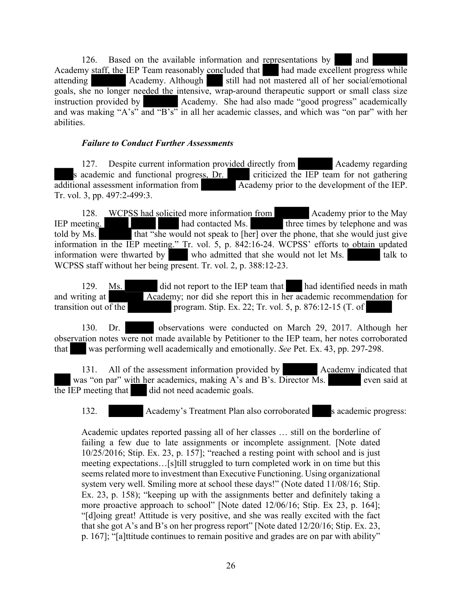126. Based on the available information and representations by and Academy staff, the IEP Team reasonably concluded that had made excellent progress while attending Academy. Although still had not mastered all of her social/emotional goals, she no longer needed the intensive, wrap-around therapeutic support or small class size instruction provided by Academy. She had also made "good progress" academically and was making "A's" and "B's" in all her academic classes, and which was "on par" with her abilities.

#### *Failure to Conduct Further Assessments*

127. Despite current information provided directly from Academy regarding s academic and functional progress, Dr. criticized the IEP team for not gathering additional assessment information from Academy prior to the development of the IEP. Tr. vol. 3, pp. 497:2-499:3.

128. WCPSS had solicited more information from Academy prior to the May IEP meeting. had contacted Ms. three times by telephone and was told by Ms. that "she would not speak to [her] over the phone, that she would just give information in the IEP meeting." Tr. vol. 5, p. 842:16-24. WCPSS' efforts to obtain updated information were thwarted by who admitted that she would not let Ms. talk to WCPSS staff without her being present. Tr. vol. 2, p. 388:12-23.

129. Ms. did not report to the IEP team that had identified needs in math and writing at Academy; nor did she report this in her academic recommendation for transition out of the program. Stip. Ex. 22; Tr. vol. 5, p. 876:12-15 (T. of

130. Dr. observations were conducted on March 29, 2017. Although her observation notes were not made available by Petitioner to the IEP team, her notes corroborated that was performing well academically and emotionally. *See* Pet. Ex. 43, pp. 297-298.

131. All of the assessment information provided by Academy indicated that was "on par" with her academics, making  $A$ 's and  $B$ 's. Director  $\overline{Ms}$ . even said at  $\overline{the IEP}$  meeting that did not need academic goals.

132. Academy's Treatment Plan also corroborated s academic progress:

Academic updates reported passing all of her classes … still on the borderline of failing a few due to late assignments or incomplete assignment. [Note dated 10/25/2016; Stip. Ex. 23, p. 157]; "reached a resting point with school and is just meeting expectations…[s]till struggled to turn completed work in on time but this seems related more to investment than Executive Functioning. Using organizational system very well. Smiling more at school these days!" (Note dated 11/08/16; Stip. Ex. 23, p. 158); "keeping up with the assignments better and definitely taking a more proactive approach to school" [Note dated 12/06/16; Stip. Ex 23, p. 164]; "[d]oing great! Attitude is very positive, and she was really excited with the fact that she got A's and B's on her progress report" [Note dated 12/20/16; Stip. Ex. 23, p. 167]; "[a]ttitude continues to remain positive and grades are on par with ability"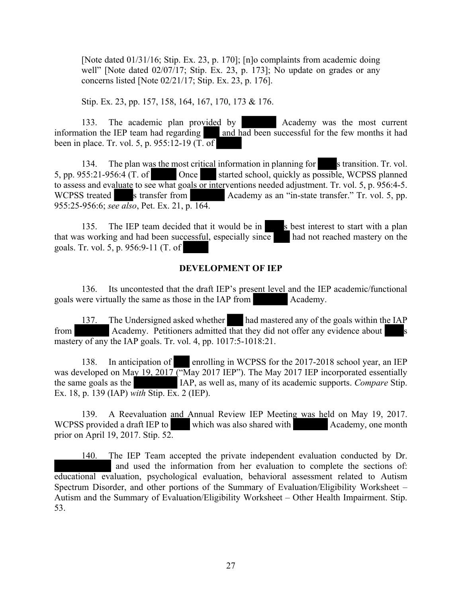[Note dated 01/31/16; Stip. Ex. 23, p. 170]; [n]o complaints from academic doing well" [Note dated 02/07/17; Stip. Ex. 23, p. 173]; No update on grades or any concerns listed [Note 02/21/17; Stip. Ex. 23, p. 176].

Stip. Ex. 23, pp. 157, 158, 164, 167, 170, 173 & 176.

133. The academic plan provided by Academy was the most current information the IEP team had regarding and had been successful for the few months it had been in place. Tr. vol. 5, p. 955:12-19 (T. of

134. The plan was the most critical information in planning for stransition. Tr. vol. 5, pp. 955:21-956:4 (T. of Once started school, quickly as possible, WCPSS planned to assess and evaluate to see what goals or interventions needed adjustment. Tr. vol. 5, p. 956:4-5. WCPSS treated s transfer from Academy as an "in-state transfer." Tr. vol. 5, pp. 955:25-956:6; *see also*, Pet. Ex. 21, p. 164.

135. The IEP team decided that it would be in  $\frac{s}{s}$  best interest to start with a plan that was working and had been successful, especially since had not reached mastery on the goals. Tr. vol. 5, p. 956:9-11 (T. of

#### **DEVELOPMENT OF IEP**

136. Its uncontested that the draft IEP's present level and the IEP academic/functional goals were virtually the same as those in the IAP from Academy.

137. The Undersigned asked whether had mastered any of the goals within the IAP from Academy. Petitioners admitted that they did not offer any evidence about mastery of any the IAP goals. Tr. vol. 4, pp. 1017:5-1018:21.

138. In anticipation of enrolling in WCPSS for the 2017-2018 school year, an IEP was developed on May 19, 2017 ("May 2017 IEP"). The May 2017 IEP incorporated essentially the same goals as the IAP, as well as, many of its academic supports. *Compare* Stip. Ex. 18, p. 139 (IAP) *with* Stip. Ex. 2 (IEP).

139. A Reevaluation and Annual Review IEP Meeting was held on May 19, 2017. WCPSS provided a draft IEP to which was also shared with Academy, one month prior on April 19, 2017. Stip. 52.

140. The IEP Team accepted the private independent evaluation conducted by Dr. and used the information from her evaluation to complete the sections of: educational evaluation, psychological evaluation, behavioral assessment related to Autism Spectrum Disorder, and other portions of the Summary of Evaluation/Eligibility Worksheet – Autism and the Summary of Evaluation/Eligibility Worksheet – Other Health Impairment. Stip. 53.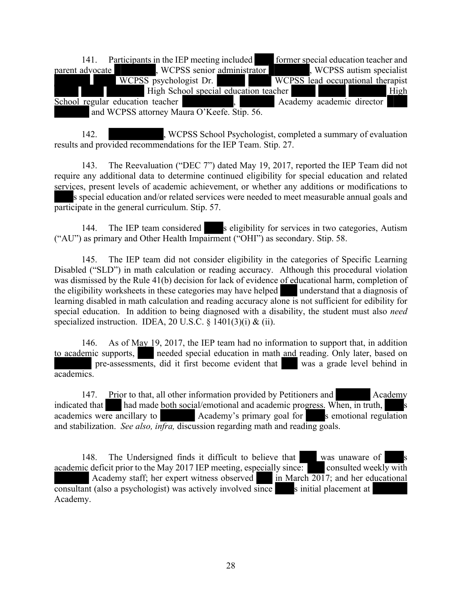141. Participants in the IEP meeting included former special education teacher and parent advocate , WCPSS senior administrator , WCPSS autism specialist WCPSS psychologist Dr. WCPSS lead occupational therapist WCPSS lead occupational therapist High School special education teacher High School regular education teacher , Academy academic director and WCPSS attorney Maura O'Keefe. Stip. 56.

142. , WCPSS School Psychologist, completed a summary of evaluation results and provided recommendations for the IEP Team. Stip. 27.

143. The Reevaluation ("DEC 7") dated May 19, 2017, reported the IEP Team did not require any additional data to determine continued eligibility for special education and related services, present levels of academic achievement, or whether any additions or modifications to s special education and/or related services were needed to meet measurable annual goals and participate in the general curriculum. Stip. 57.

144. The IEP team considered s eligibility for services in two categories, Autism ("AU") as primary and Other Health Impairment ("OHI") as secondary. Stip. 58.

145. The IEP team did not consider eligibility in the categories of Specific Learning Disabled ("SLD") in math calculation or reading accuracy. Although this procedural violation was dismissed by the Rule 41(b) decision for lack of evidence of educational harm, completion of the eligibility worksheets in these categories may have helped understand that a diagnosis of learning disabled in math calculation and reading accuracy alone is not sufficient for edibility for special education. In addition to being diagnosed with a disability, the student must also *need*  specialized instruction. IDEA, 20 U.S.C.  $\S$  1401(3)(i) & (ii).

146. As of May 19, 2017, the IEP team had no information to support that, in addition to academic supports, needed special education in math and reading. Only later, based on pre-assessments, did it first become evident that was a grade level behind in academics.

147. Prior to that, all other information provided by Petitioners and Academy indicated that  $\blacksquare$  had made both social/emotional and academic progress. When, in truth, academics were ancillary to Academy's primary goal for semotional regulation and stabilization. *See also, infra,* discussion regarding math and reading goals.

148. The Undersigned finds it difficult to believe that was unaware of academic deficit prior to the May 2017 IEP meeting, especially since: consulted weekly with Academy staff; her expert witness observed in March 2017; and her educational consultant (also a psychologist) was actively involved since s initial placement at Academy.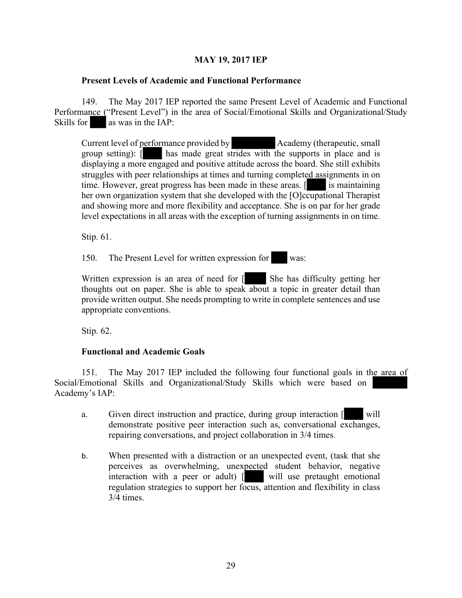# **MAY 19, 2017 IEP**

#### **Present Levels of Academic and Functional Performance**

149. The May 2017 IEP reported the same Present Level of Academic and Functional Performance ("Present Level") in the area of Social/Emotional Skills and Organizational/Study Skills for as was in the IAP:

Current level of performance provided by Academy (therapeutic, small group setting): [ has made great strides with the supports in place and is displaying a more engaged and positive attitude across the board. She still exhibits struggles with peer relationships at times and turning completed assignments in on time. However, great progress has been made in these areas. [ is maintaining her own organization system that she developed with the [O]ccupational Therapist and showing more and more flexibility and acceptance. She is on par for her grade level expectations in all areas with the exception of turning assignments in on time.

Stip. 61.

150. The Present Level for written expression for was:

Written expression is an area of need for  $\lceil \cdot \rceil$  She has difficulty getting her thoughts out on paper. She is able to speak about a topic in greater detail than provide written output. She needs prompting to write in complete sentences and use appropriate conventions.

Stip. 62.

#### **Functional and Academic Goals**

151. The May 2017 IEP included the following four functional goals in the area of Social/Emotional Skills and Organizational/Study Skills which were based on Academy's IAP:

- a. Given direct instruction and practice, during group interaction [ will demonstrate positive peer interaction such as, conversational exchanges, repairing conversations, and project collaboration in 3/4 times.
- b. When presented with a distraction or an unexpected event, (task that she perceives as overwhelming, unexpected student behavior, negative interaction with a peer or adult) [ will use pretaught emotional regulation strategies to support her focus, attention and flexibility in class 3/4 times.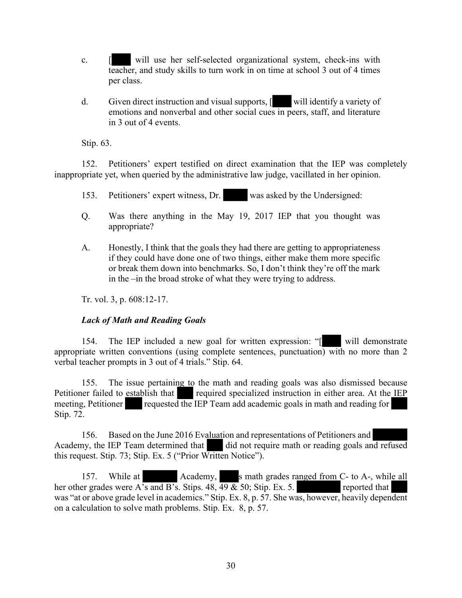- c. [ will use her self-selected organizational system, check-ins with teacher, and study skills to turn work in on time at school 3 out of 4 times per class.
- d. Given direct instruction and visual supports, [ will identify a variety of emotions and nonverbal and other social cues in peers, staff, and literature in 3 out of 4 events.

Stip. 63.

152. Petitioners' expert testified on direct examination that the IEP was completely inappropriate yet, when queried by the administrative law judge, vacillated in her opinion.

- 153. Petitioners' expert witness, Dr. was asked by the Undersigned:
- Q. Was there anything in the May 19, 2017 IEP that you thought was appropriate?
- A. Honestly, I think that the goals they had there are getting to appropriateness if they could have done one of two things, either make them more specific or break them down into benchmarks. So, I don't think they're off the mark in the –in the broad stroke of what they were trying to address.

Tr. vol. 3, p. 608:12-17.

#### *Lack of Math and Reading Goals*

154. The IEP included a new goal for written expression: "[ will demonstrate appropriate written conventions (using complete sentences, punctuation) with no more than  $2$ verbal teacher prompts in 3 out of 4 trials." Stip. 64.

155. The issue pertaining to the math and reading goals was also dismissed because Petitioner failed to establish that required specialized instruction in either area. At the IEP meeting, Petitioner requested the IEP Team add academic goals in math and reading for Stip. 72.

156. Based on the June 2016 Evaluation and representations of Petitioners and Academy, the IEP Team determined that did not require math or reading goals and refused this request. Stip. 73; Stip. Ex. 5 ("Prior Written Notice").

157. While at Academy, s math grades ranged from C- to A-, while all her other grades were A's and B's. Stips.  $48, 49 \& 50$ ; Stip. Ex. 5. reported that was "at or above grade level in academics." Stip. Ex. 8, p. 57. She was, however, heavily dependent on a calculation to solve math problems. Stip. Ex. 8, p. 57.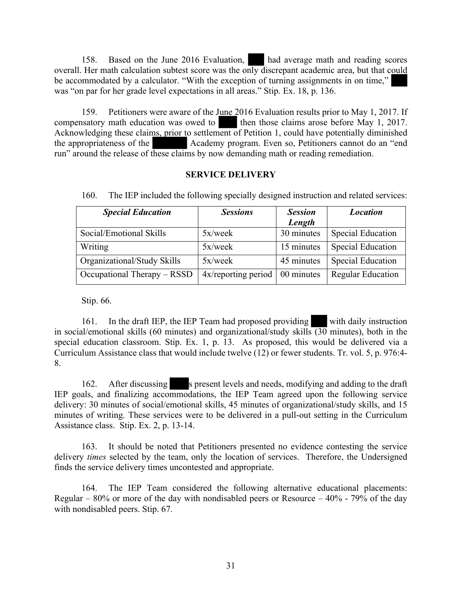158. Based on the June 2016 Evaluation, had average math and reading scores overall. Her math calculation subtest score was the only discrepant academic area, but that could be accommodated by a calculator. "With the exception of turning assignments in on time," was "on par for her grade level expectations in all areas." Stip. Ex. 18, p. 136.

159. Petitioners were aware of the June 2016 Evaluation results prior to May 1, 2017. If compensatory math education was owed to then those claims arose before May 1, 2017. Acknowledging these claims, prior to settlement of Petition 1, could have potentially diminished the appropriateness of the Academy program. Even so, Petitioners cannot do an "end run" around the release of these claims by now demanding math or reading remediation.

#### **SERVICE DELIVERY**

| <b>Special Education</b>    | <b>Sessions</b>                     | <b>Session</b><br>Length | <b>Location</b>          |
|-----------------------------|-------------------------------------|--------------------------|--------------------------|
| Social/Emotional Skills     | $5x$ /week                          | 30 minutes               | <b>Special Education</b> |
| Writing                     | 5x/week                             | 15 minutes               | <b>Special Education</b> |
| Organizational/Study Skills | $5x$ /week                          | 45 minutes               | <b>Special Education</b> |
| Occupational Therapy – RSSD | $4x$ /reporting period   00 minutes |                          | <b>Regular Education</b> |

160. The IEP included the following specially designed instruction and related services:

Stip. 66.

161. In the draft IEP, the IEP Team had proposed providing with daily instruction in social/emotional skills (60 minutes) and organizational/study skills  $\overline{(30)}$  minutes), both in the special education classroom. Stip. Ex. 1, p. 13. As proposed, this would be delivered via a Curriculum Assistance class that would include twelve (12) or fewer students. Tr. vol. 5, p. 976:4- 8.

162. After discussing s present levels and needs, modifying and adding to the draft IEP goals, and finalizing accommodations, the IEP Team agreed upon the following service delivery: 30 minutes of social/emotional skills, 45 minutes of organizational/study skills, and 15 minutes of writing. These services were to be delivered in a pull-out setting in the Curriculum Assistance class. Stip. Ex. 2, p. 13-14.

163. It should be noted that Petitioners presented no evidence contesting the service delivery *times* selected by the team, only the location of services. Therefore, the Undersigned finds the service delivery times uncontested and appropriate.

164. The IEP Team considered the following alternative educational placements: Regular –  $80\%$  or more of the day with nondisabled peers or Resource –  $40\%$  - 79% of the day with nondisabled peers. Stip. 67.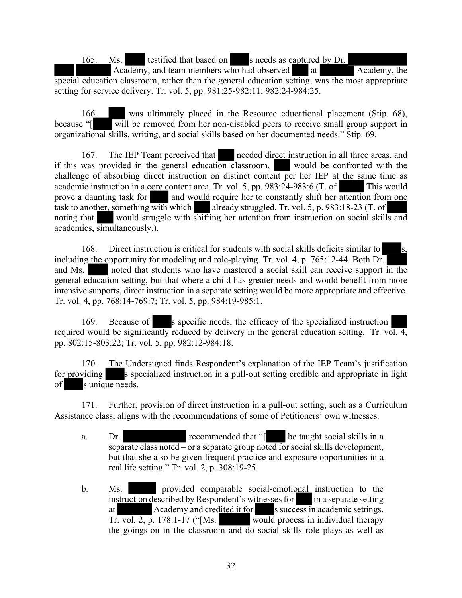165. Ms. testified that based on s needs as captured by Dr.

Academy, and team members who had observed at Academy, the special education classroom, rather than the general education setting, was the most appropriate setting for service delivery. Tr. vol. 5, pp. 981:25-982:11; 982:24-984:25.

166. was ultimately placed in the Resource educational placement (Stip. 68), because "[ will be removed from her non-disabled peers to receive small group support in organizational skills, writing, and social skills based on her documented needs." Stip. 69.

167. The IEP Team perceived that needed direct instruction in all three areas, and if this was provided in the general education classroom, would be confronted with the challenge of absorbing direct instruction on distinct content per her IEP at the same time as academic instruction in a core content area. Tr. vol. 5, pp. 983:24-983:6 (T. of This would prove a daunting task for and would require her to constantly shift her attention from one task to another, something with which already struggled. Tr. vol. 5, p. 983:18-23 (T. of noting that would struggle with shifting her attention from instruction on social skills and academics, simultaneously.).

168. Direct instruction is critical for students with social skills deficits similar to including the opportunity for modeling and role-playing. Tr. vol. 4, p. 765:12-44. Both Dr. and Ms. noted that students who have mastered a social skill can receive support in the general education setting, but that where a child has greater needs and would benefit from more intensive supports, direct instruction in a separate setting would be more appropriate and effective. Tr. vol. 4, pp. 768:14-769:7; Tr. vol. 5, pp. 984:19-985:1.

169. Because of s specific needs, the efficacy of the specialized instruction required would be significantly reduced by delivery in the general education setting. Tr. vol. 4, pp. 802:15-803:22; Tr. vol. 5, pp. 982:12-984:18.

170. The Undersigned finds Respondent's explanation of the IEP Team's justification for providing s specialized instruction in a pull-out setting credible and appropriate in light of s unique needs.

171. Further, provision of direct instruction in a pull-out setting, such as a Curriculum Assistance class, aligns with the recommendations of some of Petitioners' own witnesses.

- a. Dr. **recommended that "** be taught social skills in a separate class noted – or a separate group noted for social skills development, but that she also be given frequent practice and exposure opportunities in a real life setting." Tr. vol. 2, p. 308:19-25.
- b. Ms. provided comparable social-emotional instruction to the instruction described by Respondent's witnesses for in a separate setting at Academy and credited it for s success in academic settings. Tr. vol. 2, p. 178:1-17 ("[Ms. would process in individual therapy the goings-on in the classroom and do social skills role plays as well as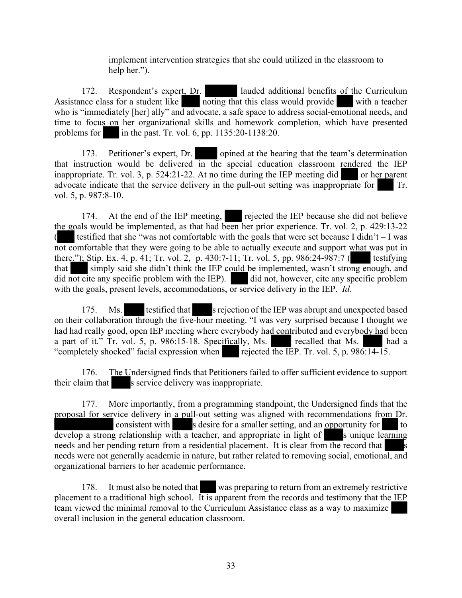implement intervention strategies that she could utilized in the classroom to help her.").

172. Respondent's expert, Dr. lauded additional benefits of the Curriculum Assistance class for a student like noting that this class would provide with a teacher who is "immediately [her] ally" and advocate, a safe space to address social-emotional needs, and time to focus on her organizational skills and homework completion, which have presented problems for in the past. Tr. vol. 6, pp.  $1135:20-1138:20$ .

173. Petitioner's expert, Dr. opined at the hearing that the team's determination that instruction would be delivered in the special education classroom rendered the IEP inappropriate. Tr. vol. 3, p.  $524:21-22$ . At no time during the IEP meeting did or her parent advocate indicate that the service delivery in the pull-out setting was inappropriate for Tr. vol. 5, p. 987:8-10.

174. At the end of the IEP meeting, rejected the IEP because she did not believe the goals would be implemented, as that had been her prior experience. Tr. vol. 2, p. 429:13-22 ( testified that she "was not comfortable with the goals that were set because I didn't  $-$  I was not comfortable that they were going to be able to actually execute and support what was put in there."); Stip. Ex. 4, p. 41; Tr. vol. 2, p. 430:7-11; Tr. vol. 5, pp. 986:24-987:7 (testifying that simply said she didn't think the IEP could be implemented, wasn't strong enough, and did not cite any specific problem with the IEP). did not, however, cite any specific problem with the goals, present levels, accommodations, or service delivery in the IEP. *Id.*

175. Ms. testified that srejection of the IEP was abrupt and unexpected based on their collaboration through the five-hour meeting. "I was very surprised because I thought we had had really good, open IEP meeting where everybody had contributed and everybody had been a part of it." Tr. vol. 5, p. 986:15-18. Specifically, Ms. recalled that Ms. had a "completely shocked" facial expression when rejected the IEP. Tr. vol. 5, p.  $986:14-15$ .

176. The Undersigned finds that Petitioners failed to offer sufficient evidence to support their claim that s service delivery was inappropriate.

177. More importantly, from a programming standpoint, the Undersigned finds that the proposal for service delivery in a pull-out setting was aligned with recommendations from Dr. consistent with s desire for a smaller setting, and an opportunity for to develop a strong relationship with a teacher, and appropriate in light of  $\sim$  s unique learning needs and her pending return from a residential placement. It is clear from the record that s needs were not generally academic in nature, but rather related to removing social, emotional, and organizational barriers to her academic performance.

178. It must also be noted that was preparing to return from an extremely restrictive placement to a traditional high school. It is apparent from the records and testimony that the IEP team viewed the minimal removal to the Curriculum Assistance class as a way to maximize overall inclusion in the general education classroom.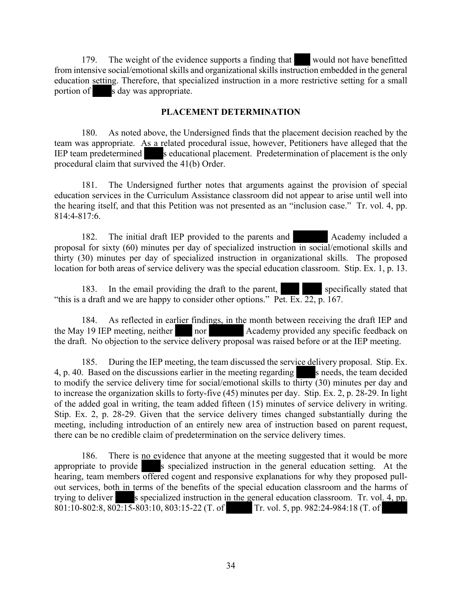179. The weight of the evidence supports a finding that would not have benefitted from intensive social/emotional skills and organizational skills instruction embedded in the general education setting. Therefore, that specialized instruction in a more restrictive setting for a small portion of s day was appropriate.

#### **PLACEMENT DETERMINATION**

180. As noted above, the Undersigned finds that the placement decision reached by the team was appropriate. As a related procedural issue, however, Petitioners have alleged that the IEP team predetermined s educational placement. Predetermination of placement is the only procedural claim that survived the 41(b) Order.

181. The Undersigned further notes that arguments against the provision of special education services in the Curriculum Assistance classroom did not appear to arise until well into the hearing itself, and that this Petition was not presented as an "inclusion case." Tr. vol. 4, pp. 814:4-817:6.

182. The initial draft IEP provided to the parents and **Academy included a** proposal for sixty (60) minutes per day of specialized instruction in social/emotional skills and thirty (30) minutes per day of specialized instruction in organizational skills. The proposed location for both areas of service delivery was the special education classroom. Stip. Ex. 1, p. 13.

183. In the email providing the draft to the parent, specifically stated that "this is a draft and we are happy to consider other options." Pet. Ex.  $\overline{22}$ , p. 167.

184. As reflected in earlier findings, in the month between receiving the draft IEP and the May 19 IEP meeting, neither nor a cademy provided any specific feedback on Academy provided any specific feedback on the draft. No objection to the service delivery proposal was raised before or at the IEP meeting.

185. During the IEP meeting, the team discussed the service delivery proposal. Stip. Ex. 4, p. 40. Based on the discussions earlier in the meeting regarding s needs, the team decided to modify the service delivery time for social/emotional skills to thirty (30) minutes per day and to increase the organization skills to forty-five (45) minutes per day. Stip. Ex. 2, p. 28-29. In light of the added goal in writing, the team added fifteen (15) minutes of service delivery in writing. Stip. Ex. 2, p. 28-29. Given that the service delivery times changed substantially during the meeting, including introduction of an entirely new area of instruction based on parent request, there can be no credible claim of predetermination on the service delivery times.

186. There is no evidence that anyone at the meeting suggested that it would be more appropriate to provide s specialized instruction in the general education setting. At the hearing, team members offered cogent and responsive explanations for why they proposed pullout services, both in terms of the benefits of the special education classroom and the harms of trying to deliver s specialized instruction in the general education classroom. Tr. vol. 4, pp. 801:10-802:8, 802:15-803:10, 803:15-22 (T. of Tr. vol. 5, pp. 982:24-984:18 (T. of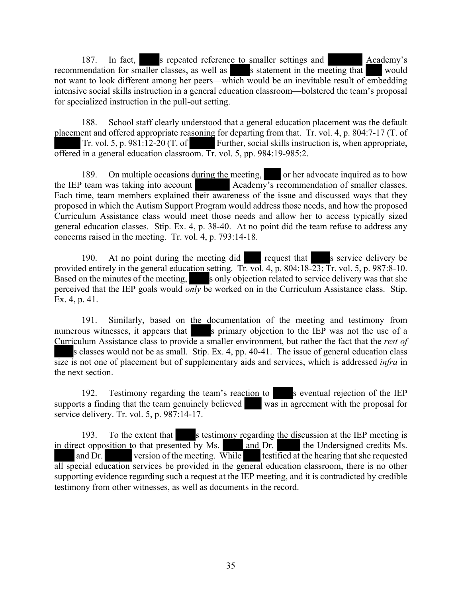187. In fact, s repeated reference to smaller settings and Academy's recommendation for smaller classes, as well as statement in the meeting that would not want to look different among her peers—which would be an inevitable result of embedding intensive social skills instruction in a general education classroom—bolstered the team's proposal for specialized instruction in the pull-out setting.

188. School staff clearly understood that a general education placement was the default placement and offered appropriate reasoning for departing from that. Tr. vol. 4, p. 804:7-17 (T. of Tr. vol. 5, p. 981:12-20 (T. of Further, social skills instruction is, when appropriate, offered in a general education classroom. Tr. vol. 5, pp. 984:19-985:2.

189. On multiple occasions during the meeting, or her advocate inquired as to how the IEP team was taking into account Academy's recommendation of smaller classes. Each time, team members explained their awareness of the issue and discussed ways that they proposed in which the Autism Support Program would address those needs, and how the proposed Curriculum Assistance class would meet those needs and allow her to access typically sized general education classes. Stip. Ex. 4, p. 38-40. At no point did the team refuse to address any concerns raised in the meeting. Tr. vol. 4, p. 793:14-18.

190. At no point during the meeting did request that s service delivery be provided entirely in the general education setting. Tr. vol. 4, p. 804:18-23; Tr. vol. 5, p. 987:8-10. Based on the minutes of the meeting,  $\sim$  s only objection related to service delivery was that she perceived that the IEP goals would *only* be worked on in the Curriculum Assistance class. Stip. Ex. 4, p. 41.

191. Similarly, based on the documentation of the meeting and testimony from numerous witnesses, it appears that s primary objection to the IEP was not the use of a Curriculum Assistance class to provide a smaller environment, but rather the fact that the *rest of* s classes would not be as small. Stip. Ex. 4, pp. 40-41. The issue of general education class size is not one of placement but of supplementary aids and services, which is addressed *infra* in the next section.

192. Testimony regarding the team's reaction to s eventual rejection of the IEP supports a finding that the team genuinely believed was in agreement with the proposal for service delivery. Tr. vol. 5, p. 987:14-17.

193. To the extent that s testimony regarding the discussion at the IEP meeting is in direct opposition to that presented by Ms. and Dr. the Undersigned credits Ms. and Dr. version of the meeting. While testified at the hearing that she requested all special education services be provided in the general education classroom, there is no other supporting evidence regarding such a request at the IEP meeting, and it is contradicted by credible testimony from other witnesses, as well as documents in the record.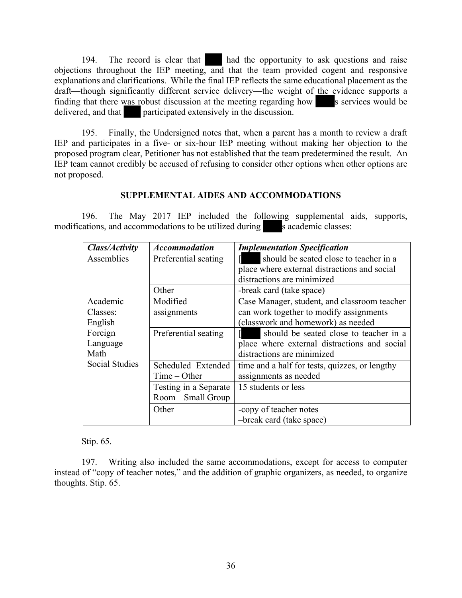194. The record is clear that had the opportunity to ask questions and raise objections throughout the IEP meeting, and that the team provided cogent and responsive explanations and clarifications. While the final IEP reflects the same educational placement as the draft—though significantly different service delivery—the weight of the evidence supports a finding that there was robust discussion at the meeting regarding how s services would be delivered, and that participated extensively in the discussion.

195. Finally, the Undersigned notes that, when a parent has a month to review a draft IEP and participates in a five- or six-hour IEP meeting without making her objection to the proposed program clear, Petitioner has not established that the team predetermined the result. An IEP team cannot credibly be accused of refusing to consider other options when other options are not proposed.

# **SUPPLEMENTAL AIDES AND ACCOMMODATIONS**

196. The May 2017 IEP included the following supplemental aids, supports, modifications, and accommodations to be utilized during s academic classes:

| Class/Activity              | <b>Accommodation</b>                 | <b>Implementation Specification</b>                                                                                  |
|-----------------------------|--------------------------------------|----------------------------------------------------------------------------------------------------------------------|
| Assemblies                  | Preferential seating                 | should be seated close to teacher in a<br>place where external distractions and social                               |
|                             |                                      | distractions are minimized                                                                                           |
|                             | Other                                | -break card (take space)                                                                                             |
| Academic<br>Classes:        | Modified<br>assignments              | Case Manager, student, and classroom teacher<br>can work together to modify assignments                              |
| English                     |                                      | classwork and homework) as needed                                                                                    |
| Foreign<br>Language<br>Math | Preferential seating                 | should be seated close to teacher in a<br>place where external distractions and social<br>distractions are minimized |
| <b>Social Studies</b>       | Scheduled Extended<br>$Time - Other$ | time and a half for tests, quizzes, or lengthy<br>assignments as needed                                              |
|                             | Testing in a Separate                | 15 students or less                                                                                                  |
|                             | Room – Small Group                   |                                                                                                                      |
|                             | Other                                | -copy of teacher notes                                                                                               |
|                             |                                      | -break card (take space)                                                                                             |

Stip. 65.

197. Writing also included the same accommodations, except for access to computer instead of "copy of teacher notes," and the addition of graphic organizers, as needed, to organize thoughts. Stip. 65.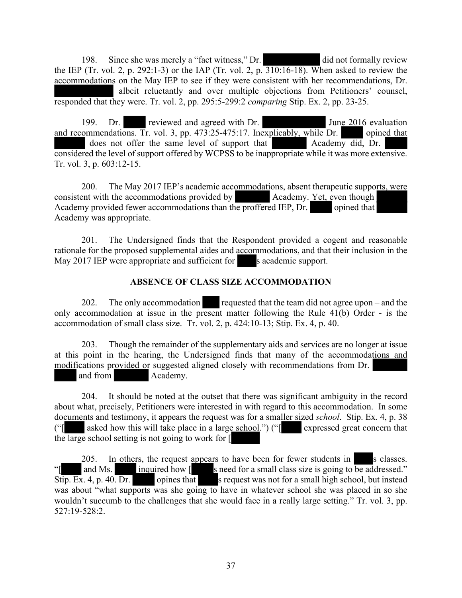198. Since she was merely a "fact witness," Dr. did not formally review the IEP (Tr. vol. 2, p. 292:1-3) or the IAP (Tr. vol. 2, p.  $\overline{310:16-18}$ ). When asked to review the accommodations on the May IEP to see if they were consistent with her recommendations, Dr. albeit reluctantly and over multiple objections from Petitioners' counsel, responded that they were. Tr. vol. 2, pp. 295:5-299:2 *comparing* Stip. Ex. 2, pp. 23-25.

199. Dr. reviewed and agreed with Dr. June 2016 evaluation and recommendations. Tr. vol. 3, pp. 473:25-475:17. Inexplicably, while Dr. opined that does not offer the same level of support that Academy did, Dr. considered the level of support offered by WCPSS to be inappropriate while it was more extensive. Tr. vol. 3, p. 603:12-15.

200. The May 2017 IEP's academic accommodations, absent therapeutic supports, were consistent with the accommodations provided by Academy. Yet, even though Academy provided fewer accommodations than the proffered IEP, Dr. opined that Academy was appropriate.

201. The Undersigned finds that the Respondent provided a cogent and reasonable rationale for the proposed supplemental aides and accommodations, and that their inclusion in the May 2017 IEP were appropriate and sufficient for s academic support.

# **ABSENCE OF CLASS SIZE ACCOMMODATION**

202. The only accommodation requested that the team did not agree upon – and the only accommodation at issue in the present matter following the Rule 41(b) Order - is the accommodation of small class size. Tr. vol. 2, p. 424:10-13; Stip. Ex. 4, p. 40.

203. Though the remainder of the supplementary aids and services are no longer at issue at this point in the hearing, the Undersigned finds that many of the accommodations and modifications provided or suggested aligned closely with recommendations from Dr. and from  $\blacksquare$  Academy. Academy.

204. It should be noted at the outset that there was significant ambiguity in the record about what, precisely, Petitioners were interested in with regard to this accommodation. In some documents and testimony, it appears the request was for a smaller sized *school*. Stip. Ex. 4, p. 38 ("[ asked how this will take place in a large school.") ("[ expressed great concern that the large school setting is not going to work for [

205. In others, the request appears to have been for fewer students in  $\Box$  is classes. "[ and Ms. inquired how [ s need for a small class size is going to be addressed." Stip. Ex. 4, p. 40. Dr. opines that s request was not for a small high school, but instead was about "what supports was she going to have in whatever school she was placed in so she wouldn't succumb to the challenges that she would face in a really large setting." Tr. vol. 3, pp. 527:19-528:2.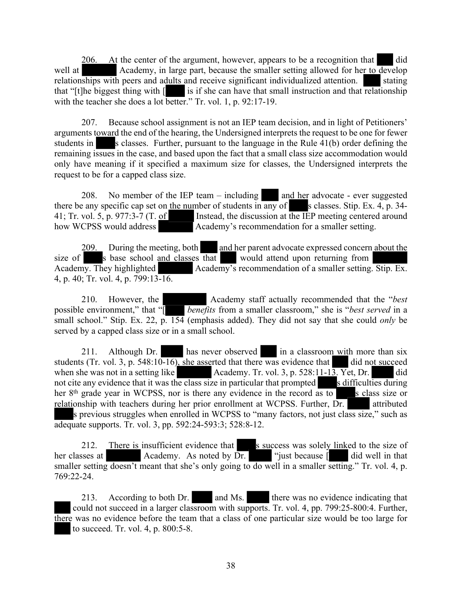206. At the center of the argument, however, appears to be a recognition that did well at Academy, in large part, because the smaller setting allowed for her to develop relationships with peers and adults and receive significant individualized attention. <br>Stating that "[t]he biggest thing with  $\lceil \cdot \cdot \rceil$  is if she can have that small instruction and that relationship with the teacher she does a lot better." Tr. vol. 1, p. 92:17-19.

207. Because school assignment is not an IEP team decision, and in light of Petitioners' arguments toward the end of the hearing, the Undersigned interprets the request to be one for fewer students in s classes. Further, pursuant to the language in the Rule  $41(b)$  order defining the remaining issues in the case, and based upon the fact that a small class size accommodation would only have meaning if it specified a maximum size for classes, the Undersigned interprets the request to be for a capped class size.

208. No member of the IEP team  $-$  including and her advocate - ever suggested there be any specific cap set on the number of students in  $\overline{any}$  of s classes. Stip. Ex. 4, p. 34-41; Tr. vol. 5, p. 977:3-7 (T. of Instead, the discussion at the IEP meeting centered around how WCPSS would address Academy's recommendation for a smaller setting.

209. During the meeting, both and her parent advocate expressed concern about the size of s base school and classes that would attend upon returning from Academy. They highlighted Academy's recommendation of a smaller setting. Stip. Ex. 4, p. 40; Tr. vol. 4, p. 799:13-16.

210. However, the Academy staff actually recommended that the "*best* possible environment," that "[ *benefits* from a smaller classroom," she is "*best served* in a small school." Stip. Ex. 22, p. 154 (emphasis added). They did not say that she could *only* be served by a capped class size or in a small school.

211. Although Dr. has never observed in a classroom with more than six students (Tr. vol. 3, p. 548:10-16), she asserted that there was evidence that did not succeed when she was not in a setting like Academy. Tr. vol. 3, p. 528:11-13. Yet, Dr. did not cite any evidence that it was the class size in particular that prompted s difficulties during her 8<sup>th</sup> grade year in WCPSS, nor is there any evidence in the record as to sclass size or relationship with teachers during her prior enrollment at WCPSS. Further, Dr. attributed s previous struggles when enrolled in WCPSS to "many factors, not just class size," such as adequate supports. Tr. vol. 3, pp. 592:24-593:3; 528:8-12.

212. There is insufficient evidence that s success was solely linked to the size of her classes at Academy. As noted by  $\overline{Dr}$ . "just because  $\begin{bmatrix} \overline{r} & \overline{r} & \overline{r} \\ \overline{r} & \overline{r} & \overline{r} \end{bmatrix}$  did well in that smaller setting doesn't meant that she's only going to do well in a smaller setting." Tr. vol. 4, p. 769:22-24.

213. According to both Dr. and Ms. there was no evidence indicating that could not succeed in a larger classroom with supports. Tr. vol. 4, pp. 799:25-800:4. Further, there was no evidence before the team that a class of one particular size would be too large for to succeed. Tr. vol. 4, p. 800:5-8.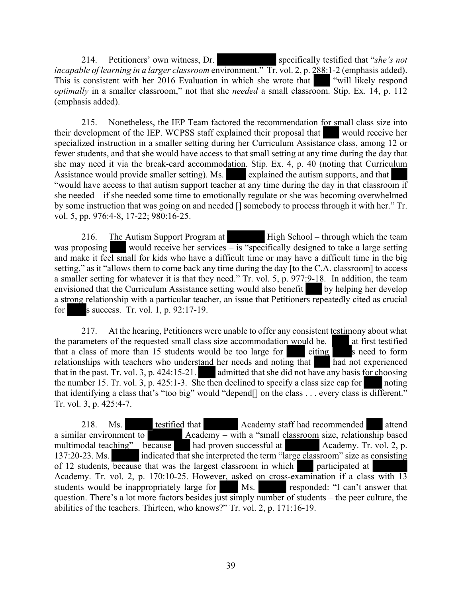214. Petitioners' own witness, Dr. specifically testified that "*she's not*" *incapable of learning in a larger classroom* environment." Tr. vol. 2, p. 288:1-2 (emphasis added). This is consistent with her 2016 Evaluation in which she wrote that "will likely respond" *optimally* in a smaller classroom," not that she *needed* a small classroom. Stip. Ex. 14, p. 112 (emphasis added).

215. Nonetheless, the IEP Team factored the recommendation for small class size into their development of the IEP. WCPSS staff explained their proposal that would receive her specialized instruction in a smaller setting during her Curriculum Assistance class, among 12 or fewer students, and that she would have access to that small setting at any time during the day that she may need it via the break-card accommodation. Stip. Ex. 4, p. 40 (noting that Curriculum Assistance would provide smaller setting). Ms. explained the autism supports, and that "would have access to that autism support teacher at any time during the day in that classroom if she needed – if she needed some time to emotionally regulate or she was becoming overwhelmed by some instruction that was going on and needed [] somebody to process through it with her." Tr. vol. 5, pp. 976:4-8, 17-22; 980:16-25.

216. The Autism Support Program at High School – through which the team was proposing would receive her services  $-\overline{\text{is}}$  "specifically designed to take a large setting and make it feel small for kids who have a difficult time or may have a difficult time in the big setting," as it "allows them to come back any time during the day [to the C.A. classroom] to access a smaller setting for whatever it is that they need." Tr. vol. 5, p. 977:9-18. In addition, the team envisioned that the Curriculum Assistance setting would also benefit by helping her develop a strong relationship with a particular teacher, an issue that Petitioners repeatedly cited as crucial for s success. Tr. vol. 1, p. 92:17-19.

217. At the hearing, Petitioners were unable to offer any consistent testimony about what the parameters of the requested small class size accommodation would be. **All a**t first testified that a class of more than 15 students would be too large for  $\epsilon$  citing s need to form relationships with teachers who understand her needs and noting that  $\epsilon$  had not experienced relationships with teachers who understand her needs and noting that that in the past. Tr. vol. 3, p. 424:15-21. admitted that she did not have any basis for choosing the number 15. Tr. vol. 3, p. 425:1-3. She then declined to specify a class size cap for noting that identifying a class that's "too big" would "depend[] on the class . . . every class is different." Tr. vol. 3, p. 425:4-7.

218. Ms. testified that Academy staff had recommended attend a similar environment to Academy – with a "small classroom size, relationship based multimodal teaching" – because had proven successful at Academy. Tr. vol. 2, p. 137:20-23. Ms. indicated that she interpreted the term "large classroom" size as consisting of 12 students, because that was the largest classroom in which **and a** participated at of 12 students, because that was the largest classroom in which Academy. Tr. vol. 2, p. 170:10-25. However, asked on cross-examination if a class with 13 students would be inappropriately large for Ms. students would be inappropriately large for Ms. question. There's a lot more factors besides just simply number of students – the peer culture, the abilities of the teachers. Thirteen, who knows?" Tr. vol. 2, p. 171:16-19.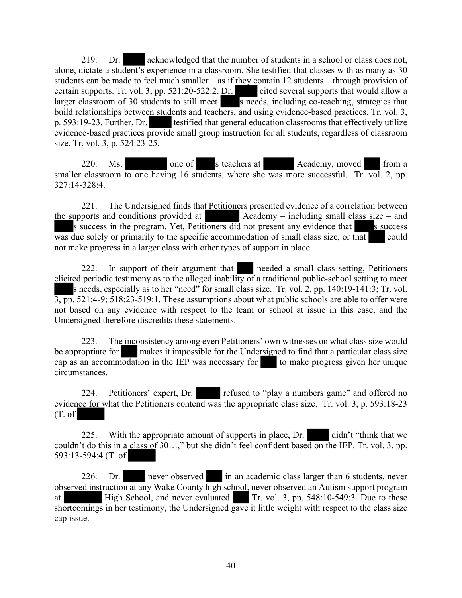219. Dr. acknowledged that the number of students in a school or class does not, alone, dictate a student's experience in a classroom. She testified that classes with as many as 30 students can be made to feel much smaller – as if they contain 12 students – through provision of certain supports. Tr. vol. 3, pp. 521:20-522:2. Dr. cited several supports that would allow a larger classroom of 30 students to still meet s needs, including co-teaching, strategies that build relationships between students and teachers, and using evidence-based practices. Tr. vol. 3, p. 593:19-23. Further, Dr. testified that general education classrooms that effectively utilize evidence-based practices provide small group instruction for all students, regardless of classroom size. Tr. vol. 3, p. 524:23-25.

220. Ms. one of s teachers at Academy, moved from a smaller classroom to one having 16 students, where she was more successful. Tr. vol. 2, pp. 327:14-328:4.

221. The Undersigned finds that Petitioners presented evidence of a correlation between the supports and conditions provided at  $\qquad$  Academy – including small class size – and s success in the program. Yet, Petitioners did not present any evidence that s success  $\overline{\text{was}}$  due solely or primarily to the specific accommodation of small class size, or that could not make progress in a larger class with other types of support in place.

222. In support of their argument that needed a small class setting, Petitioners elicited periodic testimony as to the alleged inability of a traditional public-school setting to meet s needs, especially as to her "need" for small class size. Tr. vol. 2, pp. 140:19-141:3; Tr. vol. 3, pp. 521:4-9; 518:23-519:1. These assumptions about what public schools are able to offer were not based on any evidence with respect to the team or school at issue in this case, and the Undersigned therefore discredits these statements.

223. The inconsistency among even Petitioners' own witnesses on what class size would be appropriate for makes it impossible for the Undersigned to find that a particular class size cap as an accommodation in the IEP was necessary for to make progress given her unique circumstances.

224. Petitioners' expert, Dr. refused to "play a numbers game" and offered no evidence for what the Petitioners contend was the appropriate class size. Tr. vol. 3, p. 593:18-23 (T. of

225. With the appropriate amount of supports in place, Dr. didn't "think that we couldn't do this in a class of 30…," but she didn't feel confident based on the IEP. Tr. vol. 3, pp. 593:13-594:4 (T. of

226. Dr. never observed in an academic class larger than 6 students, never observed instruction at any Wake County high school, never observed an Autism support program at High School, and never evaluated Tr. vol. 3, pp. 548:10-549:3. Due to these shortcomings in her testimony, the Undersigned gave it little weight with respect to the class size cap issue.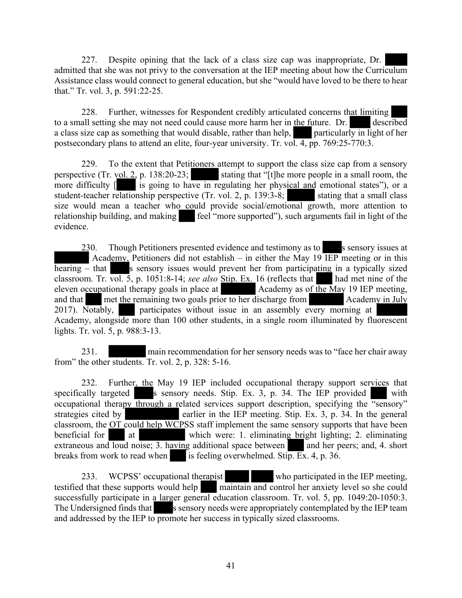227. Despite opining that the lack of a class size cap was inappropriate, Dr. admitted that she was not privy to the conversation at the IEP meeting about how the Curriculum Assistance class would connect to general education, but she "would have loved to be there to hear that." Tr. vol. 3, p. 591:22-25.

228. Further, witnesses for Respondent credibly articulated concerns that limiting to a small setting she may not need could cause more harm her in the future. Dr. described a class size cap as something that would disable, rather than help, particularly in light of her postsecondary plans to attend an elite, four-year university. Tr. vol. 4, pp. 769:25-770:3.

229. To the extent that Petitioners attempt to support the class size cap from a sensory perspective (Tr. vol. 2, p. 138:20-23; stating that "[t]he more people in a small room, the more difficulty  $\boxed{\phantom{a}}$  is going to have in regulating her physical and emotional states"), or a student-teacher relationship perspective  $(Tr. vol. 2, p. 139.3-8;$  stating that a small class size would mean a teacher who could provide social/emotional growth, more attention to relationship building, and making feel "more supported"), such arguments fail in light of the evidence.

 $230.$  Though Petitioners presented evidence and testimony as to sensory issues at Academy, Petitioners did not establish – in either the May 19  $\overline{IEP}$  meeting or in this hearing – that s sensory issues would prevent her from participating in a typically sized classroom. Tr. vol. 5, p. 1051:8-14; see also Stip. Ex. 16 (reflects that had met nine of the eleven occupational therapy goals in place at  $\blacksquare$  Academy as of the May 19 IEP meeting, and that met the remaining two goals prior to her discharge from Academy in July 2017). Notably, participates without issue in an assembly every morning at Academy, alongside more than 100 other students, in a single room illuminated by fluorescent lights. Tr. vol. 5, p. 988:3-13.

231. main recommendation for her sensory needs was to "face her chair away from" the other students. Tr. vol. 2, p. 328: 5-16.

232. Further, the May 19 IEP included occupational therapy support services that specifically targeted s sensory needs. Stip. Ex. 3, p. 34. The IEP provided with occupational therapy through a related services support description, specifying the "sensory" strategies cited by earlier in the IEP meeting. Stip. Ex. 3, p. 34. In the general classroom, the OT could help WCPSS staff implement the same sensory supports that have been beneficial for at which were: 1. eliminating bright lighting; 2. eliminating extraneous and loud noise; 3. having additional space between and her peers; and, 4. short breaks from work to read when is feeling overwhelmed. Stip. Ex. 4, p. 36.

233. WCPSS' occupational therapist who participated in the IEP meeting, testified that these supports would help maintain and control her anxiety level so she could successfully participate in a larger general education classroom. Tr. vol. 5, pp. 1049:20-1050:3. The Undersigned finds that s sensory needs were appropriately contemplated by the IEP team and addressed by the IEP to promote her success in typically sized classrooms.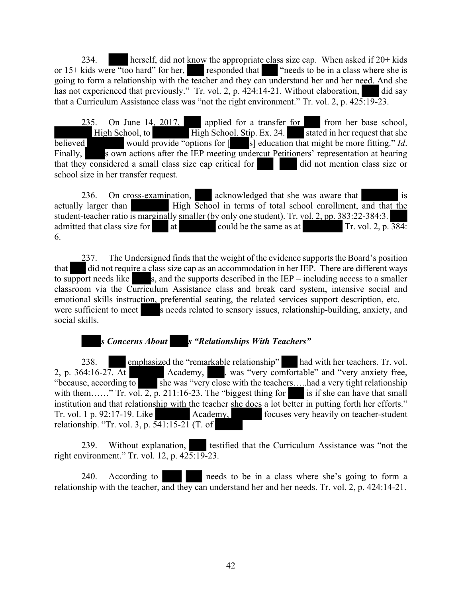234. herself, did not know the appropriate class size cap. When asked if 20+ kids or 15+ kids were "too hard" for her, responded that "needs to be in a class where she is going to form a relationship with the teacher and they can understand her and her need. And she has not experienced that previously." Tr. vol. 2, p. 424:14-21. Without elaboration, did say that a Curriculum Assistance class was "not the right environment." Tr. vol. 2, p. 425:19-23.

235. On June 14, 2017, applied for a transfer for from her base school, High School, to High School. Stip. Ex. 24. stated in her request that she believed would provide "options for  $\begin{bmatrix} \overline{s} \end{bmatrix}$  education that might be more fitting." *Id*. Finally, sown actions after the IEP meeting undercut Petitioners' representation at hearing that they considered a small class size cap critical for did not mention class size or that they considered a small class size cap critical for school size in her transfer request.

236. On cross-examination, acknowledged that she was aware that is actually larger than High School in terms of total school enrollment, and that the student-teacher ratio is marginally smaller (by only one student). Tr. vol. 2, pp. 383:22-384:3. admitted that class size for  $\qquad$  at could be the same as at Tr. vol. 2, p.  $\overline{384}$ : 6.

237. The Undersigned finds that the weight of the evidence supports the Board's position that did not require a class size cap as an accommodation in her IEP. There are different ways to support needs like  $s$ , and the supports described in the IEP – including access to a smaller classroom via the Curriculum Assistance class and break card system, intensive social and emotional skills instruction, preferential seating, the related services support description, etc. – were sufficient to meet s needs related to sensory issues, relationship-building, anxiety, and social skills.

*s Concerns About s "Relationships With Teachers"*

238. emphasized the "remarkable relationship" had with her teachers. Tr. vol. 2, p. 364:16-27. At Academy, ... was "very comfortable" and "very anxiety free, "because, according to she was "very close with the teachers...., had a very tight relationship with them……" Tr. vol. 2, p. 211:16-23. The "biggest thing for is if she can have that small institution and that relationship with the teacher she does a lot better in putting forth her efforts." Tr. vol. 1 p. 92:17-19. Like Academy, focuses very heavily on teacher-student relationship. "Tr. vol. 3, p. 541:15-21 (T. of

239. Without explanation, itestified that the Curriculum Assistance was "not the right environment." Tr. vol. 12, p. 425:19-23.

240. According to needs to be in a class where she's going to form a relationship with the teacher, and they can understand her and her needs. Tr. vol. 2, p. 424:14-21.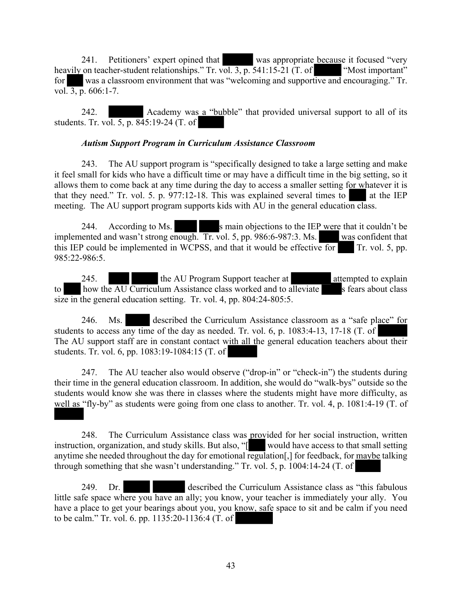241. Petitioners' expert opined that was appropriate because it focused "very on teacher-student relationships." Tr. vol. 3, p. 541:15-21 (T. of "Most important" heavily on teacher-student relationships." Tr. vol. 3, p. 541:15-21 (T. of for was a classroom environment that was "welcoming and supportive and encouraging." Tr. vol.  $3, p. 606:1-7.$ 

242. Academy was a "bubble" that provided universal support to all of its students. Tr. vol. 5, p. 845:19-24 (T. of

#### *Autism Support Program in Curriculum Assistance Classroom*

243. The AU support program is "specifically designed to take a large setting and make it feel small for kids who have a difficult time or may have a difficult time in the big setting, so it allows them to come back at any time during the day to access a smaller setting for whatever it is that they need." Tr. vol. 5. p.  $977:12-18$ . This was explained several times to at the IEP meeting. The AU support program supports kids with AU in the general education class.

244. According to Ms. s main objections to the IEP were that it couldn't be implemented and wasn't strong enough. Tr. vol. 5, pp. 986:6-987:3. Ms. was confident that this IEP could be implemented in WCPSS, and that it would be effective for Tr. vol. 5, pp. 985:22-986:5.

245. the AU Program Support teacher at attempted to explain to how the  $\overline{AU}$  Curriculum Assistance class worked and to alleviate s fears about class size in the general education setting. Tr. vol. 4, pp. 804:24-805:5.

246. Ms. described the Curriculum Assistance classroom as a "safe place" for students to access any time of the day as needed. Tr. vol. 6, p. 1083:4-13, 17-18 (T. of The AU support staff are in constant contact with all the general education teachers about their students. Tr. vol. 6, pp. 1083:19-1084:15 (T. of

247. The AU teacher also would observe ("drop-in" or "check-in") the students during their time in the general education classroom. In addition, she would do "walk-bys" outside so the students would know she was there in classes where the students might have more difficulty, as well as "fly-by" as students were going from one class to another. Tr. vol. 4, p. 1081:4-19 (T. of

248. The Curriculum Assistance class was provided for her social instruction, written instruction, organization, and study skills. But also, "[ would have access to that small setting anytime she needed throughout the day for emotional regulation[,] for feedback, for maybe talking through something that she wasn't understanding." Tr. vol. 5, p. 1004:14-24 (T. of

249. Dr. described the Curriculum Assistance class as "this fabulous little safe space where you have an ally; you know, your teacher is immediately your ally. You have a place to get your bearings about you, you know, safe space to sit and be calm if you need to be calm." Tr. vol. 6. pp. 1135:20-1136:4 (T. of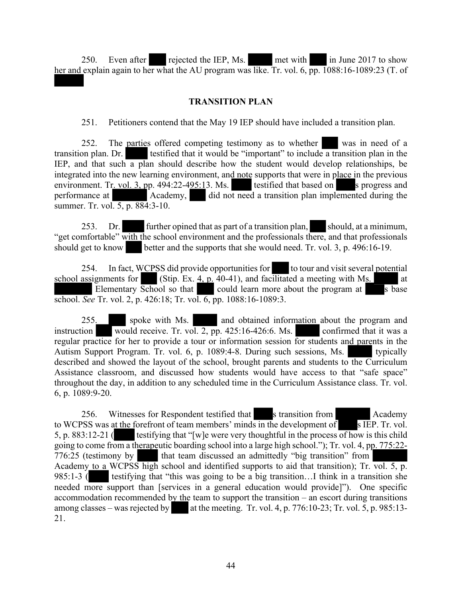250. Even after rejected the IEP, Ms. met with in June 2017 to show her and explain again to her what the AU program was like. Tr. vol. 6, pp. 1088:16-1089:23 (T. of

# **TRANSITION PLAN**

251. Petitioners contend that the May 19 IEP should have included a transition plan.

252. The parties offered competing testimony as to whether was in need of a transition plan. Dr. testified that it would be "important" to include a transition plan in the IEP, and that such a plan should describe how the student would develop relationships, be integrated into the new learning environment, and note supports that were in place in the previous environment. Tr. vol. 3, pp. 494:22-495:13. Ms. testified that based on s progress and performance at **Academy**, did not need a transition plan implemented during the summer. Tr. vol. 5, p. 884:3-10.

253. Dr. further opined that as part of a transition plan, should, at a minimum, "get comfortable" with the school environment and the professionals there, and that professionals should get to know better and the supports that she would need. Tr. vol. 3, p. 496:16-19.

254. In fact, WCPSS did provide opportunities for to tour and visit several potential school assignments for (Stip. Ex.  $\frac{4}{5}$ , p. 40-41), and facilitated a meeting with Ms. Elementary School so that could learn more about the program at s base school. *See* Tr. vol. 2, p. 426:18; Tr. vol. 6, pp. 1088:16-1089:3.

255. spoke with Ms. and obtained information about the program and instruction would receive. Tr. vol. 2, pp. 425:16-426:6. Ms. confirmed that it was a regular practice for her to provide a tour or information session for students and parents in the Autism Support Program. Tr. vol. 6, p. 1089:4-8. During such sessions, Ms. typically described and showed the layout of the school, brought parents and students to the Curriculum Assistance classroom, and discussed how students would have access to that "safe space" throughout the day, in addition to any scheduled time in the Curriculum Assistance class. Tr. vol. 6, p. 1089:9-20.

256. Witnesses for Respondent testified that s transition from Academy to WCPSS was at the forefront of team members' minds in the development of s IEP. Tr. vol. 5, p. 883:12-21 (testifying that "[w]e were very thoughtful in the process of how is this child going to come from a therapeutic boarding school into a large high school."); Tr. vol. 4, pp. 775:22- 776:25 (testimony by that team discussed an admittedly "big transition" from Academy to a WCPSS high school and identified supports to aid that transition); Tr. vol. 5, p. 985:1-3 ( testifying that "this was going to be a big transition...I think in a transition she needed more support than [services in a general education would provide]"). One specific accommodation recommended by the team to support the transition – an escort during transitions among classes – was rejected by at the meeting. Tr. vol. 4, p. 776:10-23; Tr. vol. 5, p. 985:13-21.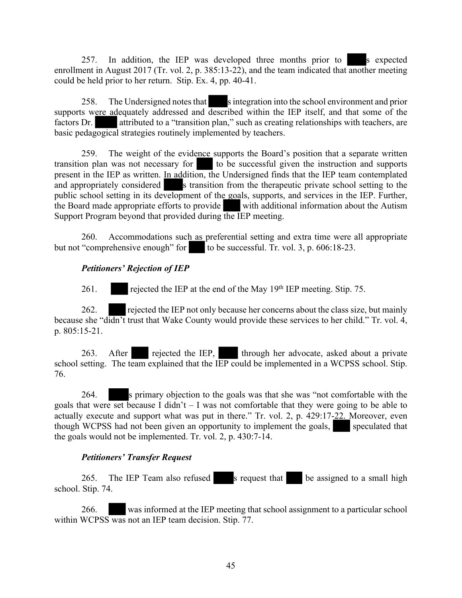257. In addition, the IEP was developed three months prior to s expected enrollment in August 2017 (Tr. vol. 2, p. 385:13-22), and the team indicated that another meeting could be held prior to her return. Stip. Ex. 4, pp. 40-41.

258. The Undersigned notes that sintegration into the school environment and prior supports were adequately addressed and described within the IEP itself, and that some of the factors Dr. attributed to a "transition plan," such as creating relationships with teachers, are basic pedagogical strategies routinely implemented by teachers.

259. The weight of the evidence supports the Board's position that a separate written transition plan was not necessary for to be successful given the instruction and supports present in the IEP as written. In addition, the Undersigned finds that the IEP team contemplated and appropriately considered s transition from the therapeutic private school setting to the public school setting in its development of the goals, supports, and services in the IEP. Further, the Board made appropriate efforts to provide with additional information about the Autism Support Program beyond that provided during the IEP meeting.

260. Accommodations such as preferential setting and extra time were all appropriate but not "comprehensive enough" for to be successful. Tr. vol. 3, p.  $606:18-23$ .

# *Petitioners' Rejection of IEP*

261. rejected the IEP at the end of the May 19th IEP meeting. Stip. 75.

262. rejected the IEP not only because her concerns about the class size, but mainly because she "didn't trust that Wake County would provide these services to her child." Tr. vol. 4, p. 805:15-21.

263. After rejected the IEP, through her advocate, asked about a private school setting. The team explained that the IEP could be implemented in a WCPSS school. Stip. 76.

264. s primary objection to the goals was that she was "not comfortable with the goals that were set because I didn't  $-$  I was not comfortable that they were going to be able to actually execute and support what was put in there." Tr. vol. 2, p. 429:17-22. Moreover, even though WCPSS had not been given an opportunity to implement the goals, speculated that the goals would not be implemented. Tr. vol. 2, p. 430:7-14.

# *Petitioners' Transfer Request*

265. The IEP Team also refused s request that be assigned to a small high school. Stip. 74.

266. was informed at the IEP meeting that school assignment to a particular school within WCPSS was not an IEP team decision. Stip. 77.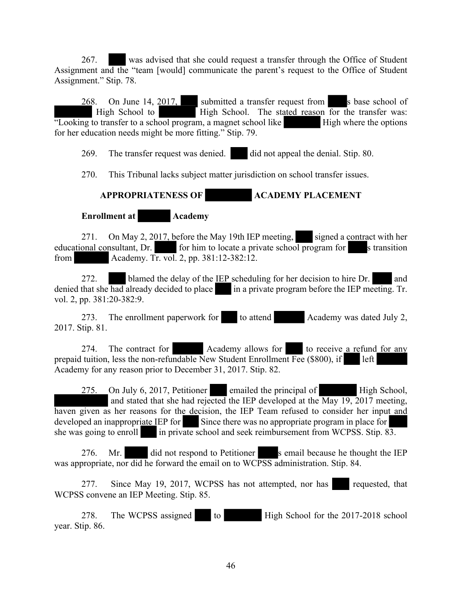267. was advised that she could request a transfer through the Office of Student Assignment and the "team [would] communicate the parent's request to the Office of Student Assignment." Stip. 78.

 $268$ . On June 14,  $2017$ , submitted a transfer request from s base school of High School to **High School.** The stated reason for the transfer was:  $\frac{1}{2}$  Looking to transfer to a school program, a magnet school like High where the options for her education needs might be more fitting." Stip. 79.

269. The transfer request was denied. did not appeal the denial. Stip. 80.

270. This Tribunal lacks subject matter jurisdiction on school transfer issues.

# **APPROPRIATENESS OF ACADEMY PLACEMENT**

**Enrollment at Academy** 

271. On May 2, 2017, before the May 19th IEP meeting, signed a contract with her educational consultant, Dr. for him to locate a private school program for s transition from Academy. Tr. vol. 2, pp. 381:12-382:12.

272. blamed the delay of the IEP scheduling for her decision to hire Dr. and denied that she had already decided to place in a private program before the IEP meeting. Tr. vol. 2, pp. 381:20-382:9.

273. The enrollment paperwork for to attend Academy was dated July 2, 2017. Stip. 81.

274. The contract for Academy allows for to receive a refund for any prepaid tuition, less the non-refundable New Student Enrollment Fee (\$800), if left Academy for any reason prior to December 31, 2017. Stip. 82.

275. On July 6, 2017, Petitioner emailed the principal of High School, and stated that she had rejected the IEP developed at the May 19, 2017 meeting, haven given as her reasons for the decision, the IEP Team refused to consider her input and developed an inappropriate IEP for Since there was no appropriate program in place for she was going to enroll in private school and seek reimbursement from WCPSS. Stip. 83.

276. Mr. did not respond to Petitioner s email because he thought the IEP was appropriate, nor did he forward the email on to WCPSS administration. Stip. 84.

277. Since May 19, 2017, WCPSS has not attempted, nor has requested, that WCPSS convene an IEP Meeting. Stip. 85.

278. The WCPSS assigned to High School for the 2017-2018 school year. Stip. 86.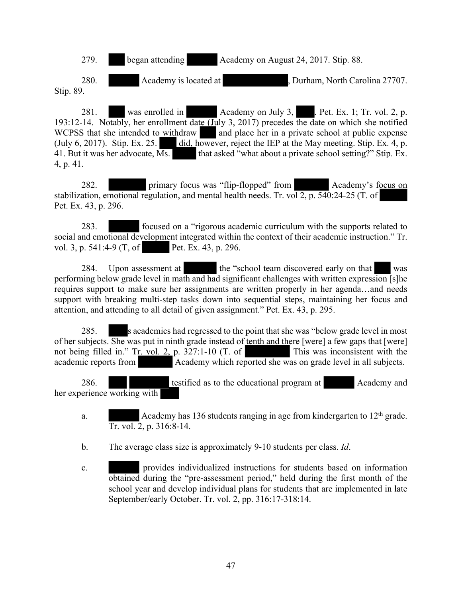

280. Academy is located at , Durham, North Carolina 27707. Stip. 89.

281. was enrolled in Academy on July 3, Pet. Ex. 1; Tr. vol. 2, p. 193:12-14. Notably, her enrollment date (July 3, 2017) precedes the date on which she notified WCPSS that she intended to withdraw and place her in a private school at public expense (July 6, 2017). Stip. Ex. 25. did, however, reject the IEP at the May meeting. Stip. Ex. 4, p. 41. But it was her advocate, Ms. that asked "what about a private school setting?" Stip. Ex. 4, p. 41.

282. primary focus was "flip-flopped" from Academy's focus on stabilization, emotional regulation, and mental health needs. Tr. vol 2, p. 540:24-25 (T. of Pet. Ex. 43, p. 296.

283. focused on a "rigorous academic curriculum with the supports related to social and emotional development integrated within the context of their academic instruction." Tr. vol. 3, p. 541:4-9 (T, of Pet. Ex. 43, p. 296.

284. Upon assessment at the "school team discovered early on that was performing below grade level in math and had significant challenges with written expression [s]he requires support to make sure her assignments are written properly in her agenda…and needs support with breaking multi-step tasks down into sequential steps, maintaining her focus and attention, and attending to all detail of given assignment." Pet. Ex. 43, p. 295.

285. s academics had regressed to the point that she was "below grade level in most of her subjects. She was put in ninth grade instead of tenth and there [were] a few gaps that [were] not being filled in." Tr. vol. 2, p. 327:1-10 (T. of This was inconsistent with the academic reports from Academy which reported she was on grade level in all subjects.

286. **the example is a start of the educational program at Academy and Academy and** her experience working with

- a. Academy has 136 students ranging in age from kindergarten to 12th grade. Tr. vol. 2, p. 316:8-14.
- b. The average class size is approximately 9-10 students per class. *Id*.
- c. provides individualized instructions for students based on information obtained during the "pre-assessment period," held during the first month of the school year and develop individual plans for students that are implemented in late September/early October. Tr. vol. 2, pp. 316:17-318:14.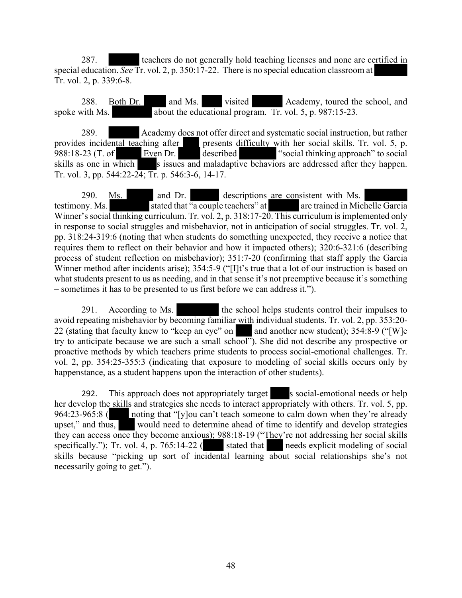287. teachers do not generally hold teaching licenses and none are certified in special education. *See* Tr. vol. 2, p. 350:17-22. There is no special education classroom at Tr. vol. 2, p. 339:6-8.

288. Both Dr. and Ms. visited Academy, toured the school, and spoke with Ms.  $\sqrt{\frac{1}{2}}$  about the educational program. Tr. vol. 5, p. 987:15-23.

289. Academy does not offer direct and systematic social instruction, but rather provides incidental teaching after presents difficulty with her social skills. Tr. vol. 5, p. 988:18-23 (T. of Even Dr. described "social thinking approach" to social skills as one in which s issues and maladaptive behaviors are addressed after they happen. Tr. vol. 3, pp. 544:22-24; Tr. p. 546:3-6, 14-17.

290. Ms. and Dr. descriptions are consistent with Ms. testimony. Ms. stated that "a couple teachers" at are trained in Michelle Garcia Winner's social thinking curriculum. Tr. vol. 2, p. 318:17-20. This curriculum is implemented only in response to social struggles and misbehavior, not in anticipation of social struggles. Tr. vol. 2, pp. 318:24-319:6 (noting that when students do something unexpected, they receive a notice that requires them to reflect on their behavior and how it impacted others); 320:6-321:6 (describing process of student reflection on misbehavior); 351:7-20 (confirming that staff apply the Garcia Winner method after incidents arise); 354:5-9 ("[I]t's true that a lot of our instruction is based on what students present to us as needing, and in that sense it's not preemptive because it's something – sometimes it has to be presented to us first before we can address it.").

291. According to Ms. the school helps students control their impulses to avoid repeating misbehavior by becoming familiar with individual students. Tr. vol. 2, pp. 353:20- 22 (stating that faculty knew to "keep an eye" on and another new student);  $354.8-9$  ("[W]e try to anticipate because we are such a small school"). She did not describe any prospective or proactive methods by which teachers prime students to process social-emotional challenges. Tr. vol. 2, pp. 354:25-355:3 (indicating that exposure to modeling of social skills occurs only by happenstance, as a student happens upon the interaction of other students).

292. This approach does not appropriately target s social-emotional needs or help her develop the skills and strategies she needs to interact appropriately with others. Tr. vol. 5, pp. 964:23-965:8 ( noting that "[y]ou can't teach someone to calm down when they're already upset," and thus, would need to determine ahead of time to identify and develop strategies they can access once they become anxious); 988:18-19 ("They're not addressing her social skills specifically."); Tr. vol. 4, p. 765:14-22 ( stated that needs explicit modeling of social skills because "picking up sort of incidental learning about social relationships she's not necessarily going to get.").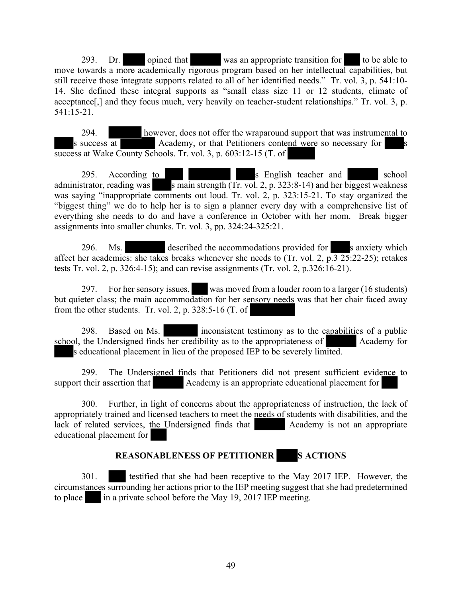293. Dr. opined that was an appropriate transition for to be able to move towards a more academically rigorous program based on her intellectual capabilities, but still receive those integrate supports related to all of her identified needs." Tr. vol. 3, p. 541:10- 14. She defined these integral supports as "small class size 11 or 12 students, climate of acceptance[,] and they focus much, very heavily on teacher-student relationships." Tr. vol. 3, p. 541:15-21.

294. however, does not offer the wraparound support that was instrumental to s success at Academy, or that Petitioners contend were so necessary for success at Wake County Schools. Tr. vol. 3, p. 603:12-15 (T. of

295. According to see all the set of second school services and school services and school services and school administrator, reading was s main strength  $(Tr. vol. 2, p. 323:8-14)$  and her biggest weakness was saying "inappropriate comments out loud. Tr. vol. 2, p. 323:15-21. To stay organized the "biggest thing" we do to help her is to sign a planner every day with a comprehensive list of everything she needs to do and have a conference in October with her mom. Break bigger assignments into smaller chunks. Tr. vol. 3, pp. 324:24-325:21.

296. Ms. described the accommodations provided for s anxiety which affect her academics: she takes breaks whenever she needs to (Tr. vol. 2,  $p.\overline{3}$  25:22-25); retakes tests Tr. vol. 2, p. 326:4-15); and can revise assignments (Tr. vol. 2, p.326:16-21).

297. For her sensory issues, was moved from a louder room to a larger (16 students) but quieter class; the main accommodation for her sensory needs was that her chair faced away from the other students. Tr. vol. 2, p. 328:5-16 (T. of

298. Based on Ms. inconsistent testimony as to the capabilities of a public school, the Undersigned finds her credibility as to the appropriateness of Academy for s educational placement in lieu of the proposed IEP to be severely limited.

299. The Undersigned finds that Petitioners did not present sufficient evidence to support their assertion that Academy is an appropriate educational placement for

300. Further, in light of concerns about the appropriateness of instruction, the lack of appropriately trained and licensed teachers to meet the needs of students with disabilities, and the lack of related services, the Undersigned finds that Academy is not an appropriate educational placement for

# **REASONABLENESS OF PETITIONER S ACTIONS**

301. testified that she had been receptive to the May 2017 IEP. However, the circumstances surrounding her actions prior to the IEP meeting suggest that she had predetermined to place in a private school before the May 19, 2017 IEP meeting.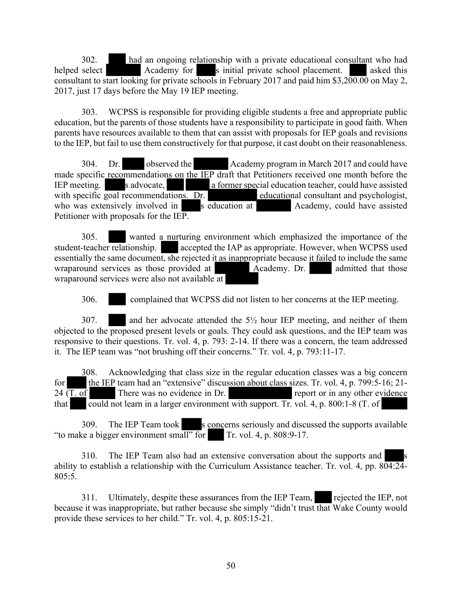302. had an ongoing relationship with a private educational consultant who had helped select Academy for s initial private school placement. asked this consultant to start looking for private schools in February 2017 and paid him \$3,200.00 on May 2, 2017, just 17 days before the May 19 IEP meeting.

303. WCPSS is responsible for providing eligible students a free and appropriate public education, but the parents of those students have a responsibility to participate in good faith. When parents have resources available to them that can assist with proposals for IEP goals and revisions to the IEP, but fail to use them constructively for that purpose, it cast doubt on their reasonableness.

304. Dr. observed the Academy program in March 2017 and could have made specific recommendations on the IEP draft that Petitioners received one month before the IEP meeting. Sadvocate,  $\overline{a}$  former special education teacher, could have assisted a former special education teacher, could have assisted with specific goal recommendations. Dr. educational consultant and psychologist, who was extensively involved in s education at Academy, could have assisted Petitioner with proposals for the IEP.

305. wanted a nurturing environment which emphasized the importance of the student-teacher relationship. accepted the IAP as appropriate. However, when WCPSS used essentially the same document, she rejected it as inappropriate because it failed to include the same wraparound services as those provided at Academy. Dr. admitted that those wraparound services were also not available at

306. complained that WCPSS did not listen to her concerns at the IEP meeting.

307. and her advocate attended the 5½ hour IEP meeting, and neither of them objected to the proposed present levels or goals. They could ask questions, and the IEP team was responsive to their questions. Tr. vol. 4, p. 793: 2-14. If there was a concern, the team addressed it. The IEP team was "not brushing off their concerns." Tr. vol. 4, p. 793:11-17.

308. Acknowledging that class size in the regular education classes was a big concern for the IEP team had an "extensive" discussion about class sizes. Tr. vol. 4, p. 799:5-16; 21- $24 \overline{(T. of)}$  There was no evidence in Dr. report or in any other evidence that could not learn in a larger environment with support. Tr. vol. 4, p. 800:1-8 (T. of

309. The IEP Team took s concerns seriously and discussed the supports available "to make a bigger environment small" for Tr. vol. 4, p.  $808.9-17$ .

310. The IEP Team also had an extensive conversation about the supports and s ability to establish a relationship with the Curriculum Assistance teacher. Tr. vol. 4, pp.  $8\overline{04:24}$ -805:5.

311. Ultimately, despite these assurances from the IEP Team, rejected the IEP, not because it was inappropriate, but rather because she simply "didn't trust that Wake County would provide these services to her child." Tr. vol. 4, p. 805:15-21.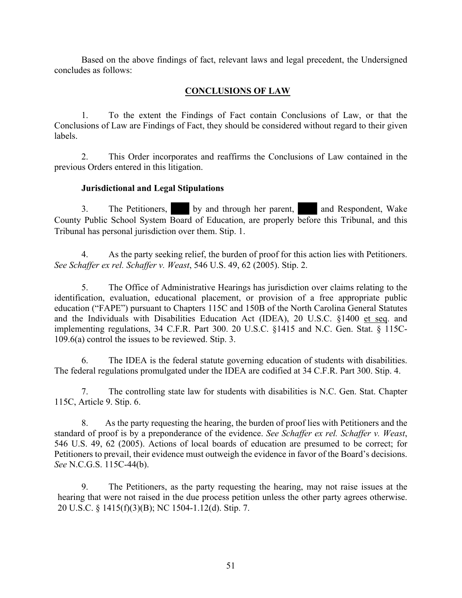Based on the above findings of fact, relevant laws and legal precedent, the Undersigned concludes as follows:

# **CONCLUSIONS OF LAW**

1. To the extent the Findings of Fact contain Conclusions of Law, or that the Conclusions of Law are Findings of Fact, they should be considered without regard to their given labels.

2. This Order incorporates and reaffirms the Conclusions of Law contained in the previous Orders entered in this litigation.

#### **Jurisdictional and Legal Stipulations**

3. The Petitioners, by and through her parent, and Respondent, Wake County Public School System Board of Education, are properly before this Tribunal, and this Tribunal has personal jurisdiction over them. Stip. 1.

4. As the party seeking relief, the burden of proof for this action lies with Petitioners. *See Schaffer ex rel. Schaffer v. Weast*, 546 U.S. 49, 62 (2005). Stip. 2.

5. The Office of Administrative Hearings has jurisdiction over claims relating to the identification, evaluation, educational placement, or provision of a free appropriate public education ("FAPE") pursuant to Chapters 115C and 150B of the North Carolina General Statutes and the Individuals with Disabilities Education Act (IDEA), 20 U.S.C. §1400 et seq. and implementing regulations, 34 C.F.R. Part 300. 20 U.S.C. §1415 and N.C. Gen. Stat. § 115C-109.6(a) control the issues to be reviewed. Stip. 3.

6. The IDEA is the federal statute governing education of students with disabilities. The federal regulations promulgated under the IDEA are codified at 34 C.F.R. Part 300. Stip. 4.

7. The controlling state law for students with disabilities is N.C. Gen. Stat. Chapter 115C, Article 9. Stip. 6.

8. As the party requesting the hearing, the burden of proof lies with Petitioners and the standard of proof is by a preponderance of the evidence. *See Schaffer ex rel. Schaffer v. Weast*, 546 U.S. 49, 62 (2005). Actions of local boards of education are presumed to be correct; for Petitioners to prevail, their evidence must outweigh the evidence in favor of the Board's decisions. *See* N.C.G.S. 115C-44(b).

9. The Petitioners, as the party requesting the hearing, may not raise issues at the hearing that were not raised in the due process petition unless the other party agrees otherwise. 20 U.S.C. § 1415(f)(3)(B); NC 1504-1.12(d). Stip. 7.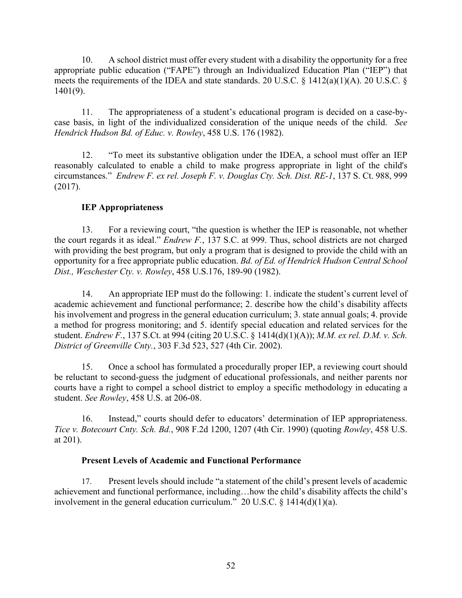10. A school district must offer every student with a disability the opportunity for a free appropriate public education ("FAPE") through an Individualized Education Plan ("IEP") that meets the requirements of the IDEA and state standards. 20 U.S.C. § 1412(a)(1)(A). 20 U.S.C. § 1401(9).

11. The appropriateness of a student's educational program is decided on a case-bycase basis, in light of the individualized consideration of the unique needs of the child. *See Hendrick Hudson Bd. of Educ. v. Rowley*, 458 U.S. 176 (1982).

12. "To meet its substantive obligation under the IDEA, a school must offer an IEP reasonably calculated to enable a child to make progress appropriate in light of the child's circumstances." *Endrew F. ex rel. Joseph F. v. Douglas Cty. Sch. Dist. RE-1*, 137 S. Ct. 988, 999 (2017).

# **IEP Appropriateness**

13. For a reviewing court, "the question is whether the IEP is reasonable, not whether the court regards it as ideal." *Endrew F.*, 137 S.C. at 999. Thus, school districts are not charged with providing the best program, but only a program that is designed to provide the child with an opportunity for a free appropriate public education. *Bd. of Ed. of Hendrick Hudson Central School Dist., Weschester Cty. v. Rowley*, 458 U.S.176, 189-90 (1982).

14. An appropriate IEP must do the following: 1. indicate the student's current level of academic achievement and functional performance; 2. describe how the child's disability affects his involvement and progress in the general education curriculum; 3. state annual goals; 4. provide a method for progress monitoring; and 5. identify special education and related services for the student. *Endrew F.*, 137 S.Ct. at 994 (citing 20 U.S.C. § 1414(d)(1)(A)); *M.M. ex rel. D.M. v. Sch. District of Greenville Cnty.*, 303 F.3d 523, 527 (4th Cir. 2002).

15. Once a school has formulated a procedurally proper IEP, a reviewing court should be reluctant to second-guess the judgment of educational professionals, and neither parents nor courts have a right to compel a school district to employ a specific methodology in educating a student. *See Rowley*, 458 U.S. at 206-08.

16. Instead," courts should defer to educators' determination of IEP appropriateness. *Tice v. Botecourt Cnty. Sch. Bd.*, 908 F.2d 1200, 1207 (4th Cir. 1990) (quoting *Rowley*, 458 U.S. at 201).

# **Present Levels of Academic and Functional Performance**

17. Present levels should include "a statement of the child's present levels of academic achievement and functional performance, including…how the child's disability affects the child's involvement in the general education curriculum." 20 U.S.C.  $\S$  1414(d)(1)(a).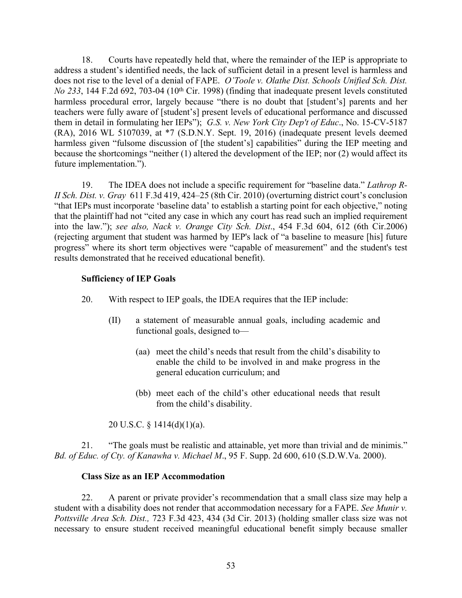18. Courts have repeatedly held that, where the remainder of the IEP is appropriate to address a student's identified needs, the lack of sufficient detail in a present level is harmless and does not rise to the level of a denial of FAPE. *O'Toole v. Olathe Dist. Schools Unified Sch. Dist. No* 233, 144 F.2d 692, 703-04 (10<sup>th</sup> Cir. 1998) (finding that inadequate present levels constituted harmless procedural error, largely because "there is no doubt that [student's] parents and her teachers were fully aware of [student's] present levels of educational performance and discussed them in detail in formulating her IEPs"); *G.S. v. New York City Dep't of Educ*., No. 15-CV-5187 (RA), 2016 WL 5107039, at \*7 (S.D.N.Y. Sept. 19, 2016) (inadequate present levels deemed harmless given "fulsome discussion of [the student's] capabilities" during the IEP meeting and because the shortcomings "neither (1) altered the development of the IEP; nor (2) would affect its future implementation.").

19. The IDEA does not include a specific requirement for "baseline data." *Lathrop R-II Sch. Dist. v. Gray* 611 F.3d 419, 424–25 (8th Cir. 2010) (overturning district court's conclusion "that IEPs must incorporate 'baseline data' to establish a starting point for each objective," noting that the plaintiff had not "cited any case in which any court has read such an implied requirement into the law."); *see also, Nack v. Orange City Sch. Dist*., 454 F.3d 604, 612 (6th Cir.2006) (rejecting argument that student was harmed by IEP's lack of "a baseline to measure [his] future progress" where its short term objectives were "capable of measurement" and the student's test results demonstrated that he received educational benefit).

# **Sufficiency of IEP Goals**

- 20. With respect to IEP goals, the IDEA requires that the IEP include:
	- (II) a statement of measurable annual goals, including academic and functional goals, designed to—
		- (aa) meet the child's needs that result from the child's disability to enable the child to be involved in and make progress in the general education curriculum; and
		- (bb) meet each of the child's other educational needs that result from the child's disability.

20 U.S.C. §  $1414(d)(1)(a)$ .

21. "The goals must be realistic and attainable, yet more than trivial and de minimis." *Bd. of Educ. of Cty. of Kanawha v. Michael M*., 95 F. Supp. 2d 600, 610 (S.D.W.Va. 2000).

#### **Class Size as an IEP Accommodation**

22. A parent or private provider's recommendation that a small class size may help a student with a disability does not render that accommodation necessary for a FAPE. *See Munir v. Pottsville Area Sch. Dist.,* 723 F.3d 423, 434 (3d Cir. 2013) (holding smaller class size was not necessary to ensure student received meaningful educational benefit simply because smaller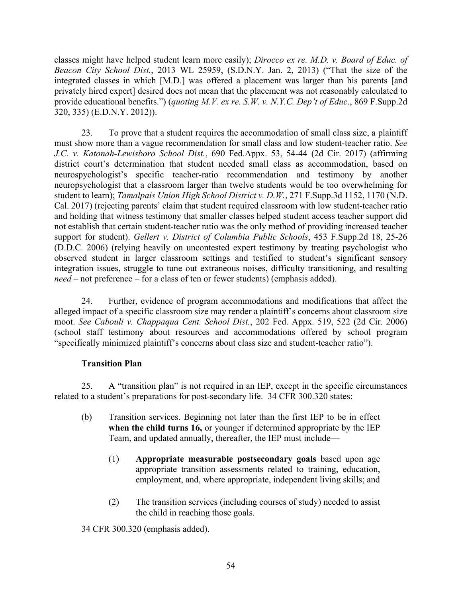classes might have helped student learn more easily); *Dirocco ex re. M.D. v. Board of Educ. of Beacon City School Dist.*, 2013 WL 25959, (S.D.N.Y. Jan. 2, 2013) ("That the size of the integrated classes in which [M.D.] was offered a placement was larger than his parents [and privately hired expert] desired does not mean that the placement was not reasonably calculated to provide educational benefits.") (*quoting M.V. ex re. S.W. v. N.Y.C. Dep't of Educ*., 869 F.Supp.2d 320, 335) (E.D.N.Y. 2012)).

23. To prove that a student requires the accommodation of small class size, a plaintiff must show more than a vague recommendation for small class and low student-teacher ratio. *See J.C. v. Katonah-Lewisboro School Dist.*, 690 Fed.Appx. 53, 54-44 (2d Cir. 2017) (affirming district court's determination that student needed small class as accommodation, based on neurospychologist's specific teacher-ratio recommendation and testimony by another neuropsychologist that a classroom larger than twelve students would be too overwhelming for student to learn); *Tamalpais Union High School District v. D.W.*, 271 F.Supp.3d 1152, 1170 (N.D. Cal. 2017) (rejecting parents' claim that student required classroom with low student-teacher ratio and holding that witness testimony that smaller classes helped student access teacher support did not establish that certain student-teacher ratio was the only method of providing increased teacher support for student). *Gellert v. District of Columbia Public Schools*, 453 F.Supp.2d 18, 25-26 (D.D.C. 2006) (relying heavily on uncontested expert testimony by treating psychologist who observed student in larger classroom settings and testified to student's significant sensory integration issues, struggle to tune out extraneous noises, difficulty transitioning, and resulting *need* – not preference – for a class of ten or fewer students) (emphasis added).

24. Further, evidence of program accommodations and modifications that affect the alleged impact of a specific classroom size may render a plaintiff's concerns about classroom size moot. *See Cabouli v. Chappaqua Cent. School Dist.*, 202 Fed. Appx. 519, 522 (2d Cir. 2006) (school staff testimony about resources and accommodations offered by school program "specifically minimized plaintiff's concerns about class size and student-teacher ratio").

# **Transition Plan**

25. A "transition plan" is not required in an IEP, except in the specific circumstances related to a student's preparations for post-secondary life. 34 CFR 300.320 states:

- (b) Transition services. Beginning not later than the first IEP to be in effect **when the child turns 16,** or younger if determined appropriate by the IEP Team, and updated annually, thereafter, the IEP must include—
	- (1) **Appropriate measurable postsecondary goals** based upon age appropriate transition assessments related to training, education, employment, and, where appropriate, independent living skills; and
	- (2) The transition services (including courses of study) needed to assist the child in reaching those goals.

34 CFR 300.320 (emphasis added).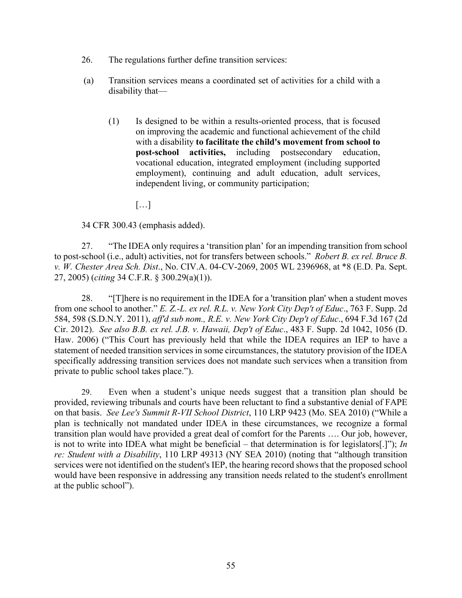- 26. The regulations further define transition services:
- (a) Transition services means a coordinated set of activities for a child with a disability that—
	- (1) Is designed to be within a results-oriented process, that is focused on improving the academic and functional achievement of the child with a disability **to facilitate the child's movement from school to post-school activities,** including postsecondary education, vocational education, integrated employment (including supported employment), continuing and adult education, adult services, independent living, or community participation;

[…]

34 CFR 300.43 (emphasis added).

27. "The IDEA only requires a 'transition plan' for an impending transition from school to post-school (i.e., adult) activities, not for transfers between schools." *Robert B. ex rel. Bruce B. v. W. Chester Area Sch. Dist*., No. CIV.A. 04-CV-2069, 2005 WL 2396968, at \*8 (E.D. Pa. Sept. 27, 2005) (*citing* 34 C.F.R. § 300.29(a)(1)).

28. "[T]here is no requirement in the IDEA for a 'transition plan' when a student moves from one school to another." *E. Z.-L. ex rel. R.L. v. New York City Dep't of Educ*., 763 F. Supp. 2d 584, 598 (S.D.N.Y. 2011), *aff'd sub nom., R.E. v. New York City Dep't of Educ*., 694 F.3d 167 (2d Cir. 2012). *See also B.B. ex rel. J.B. v. Hawaii, Dep't of Educ*., 483 F. Supp. 2d 1042, 1056 (D. Haw. 2006) ("This Court has previously held that while the IDEA requires an IEP to have a statement of needed transition services in some circumstances, the statutory provision of the IDEA specifically addressing transition services does not mandate such services when a transition from private to public school takes place.").

29. Even when a student's unique needs suggest that a transition plan should be provided, reviewing tribunals and courts have been reluctant to find a substantive denial of FAPE on that basis. *See Lee's Summit R-VII School District*, 110 LRP 9423 (Mo. SEA 2010) ("While a plan is technically not mandated under IDEA in these circumstances, we recognize a formal transition plan would have provided a great deal of comfort for the Parents …. Our job, however, is not to write into IDEA what might be beneficial – that determination is for legislators[.]"); *In re: Student with a Disability*, 110 LRP 49313 (NY SEA 2010) (noting that "although transition services were not identified on the student's IEP, the hearing record shows that the proposed school would have been responsive in addressing any transition needs related to the student's enrollment at the public school").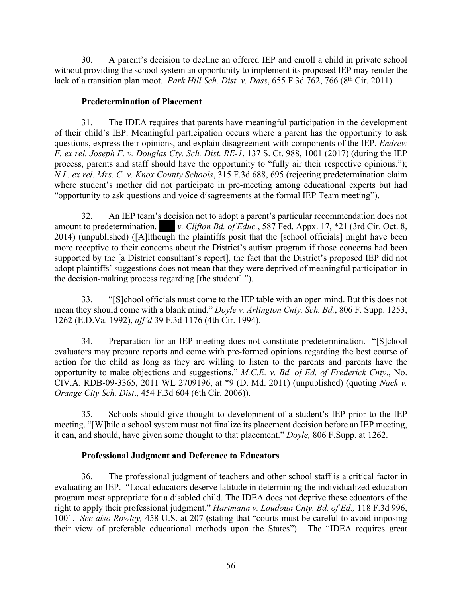30. A parent's decision to decline an offered IEP and enroll a child in private school without providing the school system an opportunity to implement its proposed IEP may render the lack of a transition plan moot. *Park Hill Sch. Dist. v. Dass*, 655 F.3d 762, 766 (8<sup>th</sup> Cir. 2011).

#### **Predetermination of Placement**

31. The IDEA requires that parents have meaningful participation in the development of their child's IEP. Meaningful participation occurs where a parent has the opportunity to ask questions, express their opinions, and explain disagreement with components of the IEP. *Endrew F. ex rel. Joseph F. v. Douglas Cty. Sch. Dist. RE-1*, 137 S. Ct. 988, 1001 (2017) (during the IEP process, parents and staff should have the opportunity to "fully air their respective opinions."); *N.L. ex rel. Mrs. C. v. Knox County Schools*, 315 F.3d 688, 695 (rejecting predetermination claim where student's mother did not participate in pre-meeting among educational experts but had "opportunity to ask questions and voice disagreements at the formal IEP Team meeting").

32. An IEP team's decision not to adopt a parent's particular recommendation does not amount to predetermination. *v. Clifton Bd. of Educ.*, 587 Fed. Appx. 17, \*21 (3rd Cir. Oct. 8, 2014) (unpublished) ([A]lthough the plaintiffs posit that the [school officials] might have been more receptive to their concerns about the District's autism program if those concerns had been supported by the [a District consultant's report], the fact that the District's proposed IEP did not adopt plaintiffs' suggestions does not mean that they were deprived of meaningful participation in the decision-making process regarding [the student].").

33. "[S]chool officials must come to the IEP table with an open mind. But this does not mean they should come with a blank mind." *Doyle v. Arlington Cnty. Sch. Bd.*, 806 F. Supp. 1253, 1262 (E.D.Va. 1992), *aff'd* 39 F.3d 1176 (4th Cir. 1994).

34. Preparation for an IEP meeting does not constitute predetermination. "[S]chool evaluators may prepare reports and come with pre-formed opinions regarding the best course of action for the child as long as they are willing to listen to the parents and parents have the opportunity to make objections and suggestions." *M.C.E. v. Bd. of Ed. of Frederick Cnty*., No. CIV.A. RDB-09-3365, 2011 WL 2709196, at \*9 (D. Md. 2011) (unpublished) (quoting *Nack v. Orange City Sch. Dist*., 454 F.3d 604 (6th Cir. 2006)).

35. Schools should give thought to development of a student's IEP prior to the IEP meeting. "[W]hile a school system must not finalize its placement decision before an IEP meeting, it can, and should, have given some thought to that placement." *Doyle,* 806 F.Supp. at 1262.

# **Professional Judgment and Deference to Educators**

36. The professional judgment of teachers and other school staff is a critical factor in evaluating an IEP. "Local educators deserve latitude in determining the individualized education program most appropriate for a disabled child. The IDEA does not deprive these educators of the right to apply their professional judgment." *Hartmann v. Loudoun Cnty. Bd. of Ed.,* 118 F.3d 996, 1001. *See also Rowley,* 458 U.S. at 207 (stating that "courts must be careful to avoid imposing their view of preferable educational methods upon the States"). The "IDEA requires great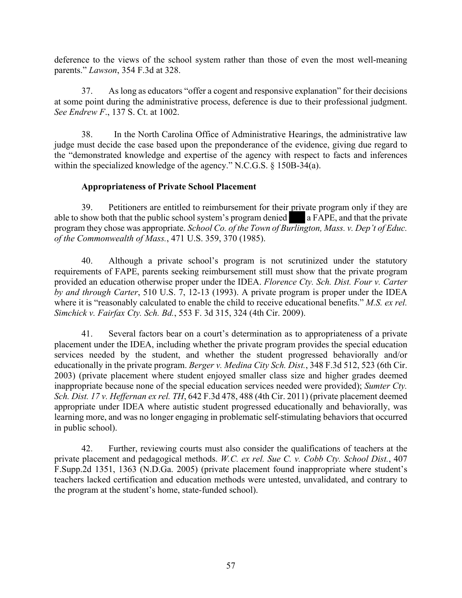deference to the views of the school system rather than those of even the most well-meaning parents." *Lawson*, 354 F.3d at 328.

37. As long as educators "offer a cogent and responsive explanation" for their decisions at some point during the administrative process, deference is due to their professional judgment. *See Endrew F*., 137 S. Ct. at 1002.

38. In the North Carolina Office of Administrative Hearings, the administrative law judge must decide the case based upon the preponderance of the evidence, giving due regard to the "demonstrated knowledge and expertise of the agency with respect to facts and inferences within the specialized knowledge of the agency." N.C.G.S. § 150B-34(a).

#### **Appropriateness of Private School Placement**

39. Petitioners are entitled to reimbursement for their private program only if they are able to show both that the public school system's program denied a FAPE, and that the private program they chose was appropriate. *School Co. of the Town of Burlington, Mass. v. Dep't of Educ. of the Commonwealth of Mass.*, 471 U.S. 359, 370 (1985).

40. Although a private school's program is not scrutinized under the statutory requirements of FAPE, parents seeking reimbursement still must show that the private program provided an education otherwise proper under the IDEA. *Florence Cty. Sch. Dist. Four v. Carter by and through Carter*, 510 U.S. 7, 12-13 (1993). A private program is proper under the IDEA where it is "reasonably calculated to enable the child to receive educational benefits." *M.S. ex rel. Simchick v. Fairfax Cty. Sch. Bd.*, 553 F. 3d 315, 324 (4th Cir. 2009).

41. Several factors bear on a court's determination as to appropriateness of a private placement under the IDEA, including whether the private program provides the special education services needed by the student, and whether the student progressed behaviorally and/or educationally in the private program. *Berger v. Medina City Sch. Dist.*, 348 F.3d 512, 523 (6th Cir. 2003) (private placement where student enjoyed smaller class size and higher grades deemed inappropriate because none of the special education services needed were provided); *Sumter Cty. Sch. Dist. 17 v. Heffernan ex rel. TH*, 642 F.3d 478, 488 (4th Cir. 2011) (private placement deemed appropriate under IDEA where autistic student progressed educationally and behaviorally, was learning more, and was no longer engaging in problematic self-stimulating behaviors that occurred in public school).

42. Further, reviewing courts must also consider the qualifications of teachers at the private placement and pedagogical methods. *W.C. ex rel. Sue C. v. Cobb Cty. School Dist.*, 407 F.Supp.2d 1351, 1363 (N.D.Ga. 2005) (private placement found inappropriate where student's teachers lacked certification and education methods were untested, unvalidated, and contrary to the program at the student's home, state-funded school).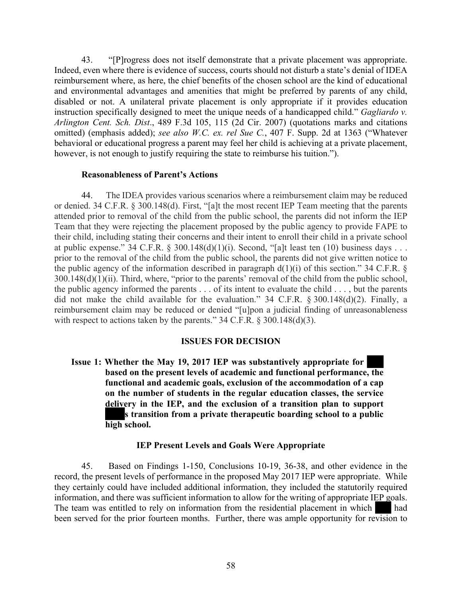43. "[P]rogress does not itself demonstrate that a private placement was appropriate. Indeed, even where there is evidence of success, courts should not disturb a state's denial of IDEA reimbursement where, as here, the chief benefits of the chosen school are the kind of educational and environmental advantages and amenities that might be preferred by parents of any child, disabled or not. A unilateral private placement is only appropriate if it provides education instruction specifically designed to meet the unique needs of a handicapped child." *Gagliardo v. Arlington Cent. Sch. Dist*., 489 F.3d 105, 115 (2d Cir. 2007) (quotations marks and citations omitted) (emphasis added); *see also W.C. ex. rel Sue C.*, 407 F. Supp. 2d at 1363 ("Whatever behavioral or educational progress a parent may feel her child is achieving at a private placement, however, is not enough to justify requiring the state to reimburse his tuition.").

#### **Reasonableness of Parent's Actions**

44. The IDEA provides various scenarios where a reimbursement claim may be reduced or denied. 34 C.F.R. § 300.148(d). First, "[a]t the most recent IEP Team meeting that the parents attended prior to removal of the child from the public school, the parents did not inform the IEP Team that they were rejecting the placement proposed by the public agency to provide FAPE to their child, including stating their concerns and their intent to enroll their child in a private school at public expense." 34 C.F.R. § 300.148 $(d)(1)(i)$ . Second, "[a]t least ten (10) business days . . . prior to the removal of the child from the public school, the parents did not give written notice to the public agency of the information described in paragraph  $d(1)(i)$  of this section." 34 C.F.R. § 300.148(d)(1)(ii). Third, where, "prior to the parents' removal of the child from the public school, the public agency informed the parents . . . of its intent to evaluate the child . . . , but the parents did not make the child available for the evaluation." 34 C.F.R. § 300.148(d)(2). Finally, a reimbursement claim may be reduced or denied "[u]pon a judicial finding of unreasonableness with respect to actions taken by the parents."  $34$  C.F.R. § 300.148(d)(3).

#### **ISSUES FOR DECISION**

**Issue 1: Whether the May 19, 2017 IEP was substantively appropriate for based on the present levels of academic and functional performance, the functional and academic goals, exclusion of the accommodation of a cap on the number of students in the regular education classes, the service delivery in the IEP, and the exclusion of a transition plan to support s transition from a private therapeutic boarding school to a public high school.**

#### **IEP Present Levels and Goals Were Appropriate**

45. Based on Findings 1-150, Conclusions 10-19, 36-38, and other evidence in the record, the present levels of performance in the proposed May 2017 IEP were appropriate. While they certainly could have included additional information, they included the statutorily required information, and there was sufficient information to allow for the writing of appropriate IEP goals. The team was entitled to rely on information from the residential placement in which had been served for the prior fourteen months. Further, there was ample opportunity for revision to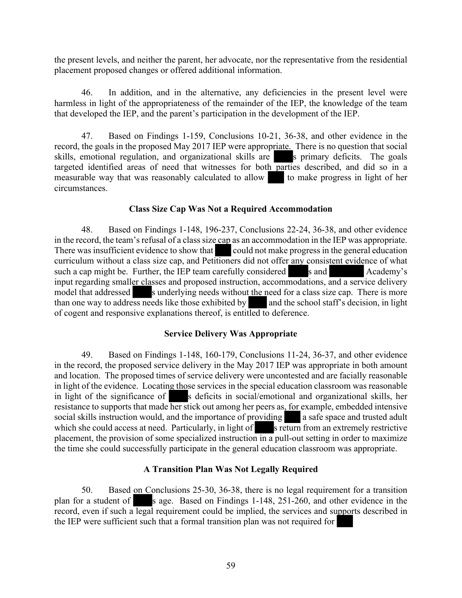the present levels, and neither the parent, her advocate, nor the representative from the residential placement proposed changes or offered additional information.

46. In addition, and in the alternative, any deficiencies in the present level were harmless in light of the appropriateness of the remainder of the IEP, the knowledge of the team that developed the IEP, and the parent's participation in the development of the IEP.

47. Based on Findings 1-159, Conclusions 10-21, 36-38, and other evidence in the record, the goals in the proposed May 2017 IEP were appropriate. There is no question that social skills, emotional regulation, and organizational skills are s primary deficits. The goals targeted identified areas of need that witnesses for both parties described, and did so in a measurable way that was reasonably calculated to allow to make progress in light of her circumstances.

#### **Class Size Cap Was Not a Required Accommodation**

48. Based on Findings 1-148, 196-237, Conclusions 22-24, 36-38, and other evidence in the record, the team's refusal of a class size cap as an accommodation in the IEP was appropriate. There was insufficient evidence to show that could not make progress in the general education curriculum without a class size cap, and Petitioners did not offer any consistent evidence of what such a cap might be. Further, the IEP team carefully considered s and Academy's input regarding smaller classes and proposed instruction, accommodations, and a service delivery model that addressed s underlying needs without the need for a class size cap. There is more than one way to address needs like those exhibited by and the school staff's decision, in light of cogent and responsive explanations thereof, is entitled to deference.

# **Service Delivery Was Appropriate**

49. Based on Findings 1-148, 160-179, Conclusions 11-24, 36-37, and other evidence in the record, the proposed service delivery in the May 2017 IEP was appropriate in both amount and location. The proposed times of service delivery were uncontested and are facially reasonable in light of the evidence. Locating those services in the special education classroom was reasonable in light of the significance of s deficits in social/emotional and organizational skills, her resistance to supports that made her stick out among her peers as, for example, embedded intensive social skills instruction would, and the importance of providing a safe space and trusted adult which she could access at need. Particularly, in light of seturn from an extremely restrictive placement, the provision of some specialized instruction in a pull-out setting in order to maximize the time she could successfully participate in the general education classroom was appropriate.

# **A Transition Plan Was Not Legally Required**

50. Based on Conclusions 25-30, 36-38, there is no legal requirement for a transition plan for a student of s age. Based on Findings 1-148, 251-260, and other evidence in the record, even if such a legal requirement could be implied, the services and supports described in the IEP were sufficient such that a formal transition plan was not required for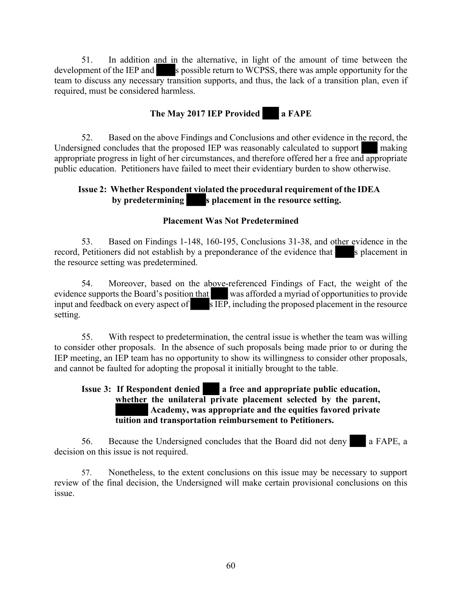51. In addition and in the alternative, in light of the amount of time between the development of the IEP and s possible return to WCPSS, there was ample opportunity for the team to discuss any necessary transition supports, and thus, the lack of a transition plan, even if required, must be considered harmless.

# **The May 2017 IEP Provided a FAPE**

52. Based on the above Findings and Conclusions and other evidence in the record, the Undersigned concludes that the proposed IEP was reasonably calculated to support making appropriate progress in light of her circumstances, and therefore offered her a free and appropriate public education. Petitioners have failed to meet their evidentiary burden to show otherwise.

# **Issue 2: Whether Respondent violated the procedural requirement of the IDEA s** placement in the resource setting.

# **Placement Was Not Predetermined**

53. Based on Findings 1-148, 160-195, Conclusions 31-38, and other evidence in the record, Petitioners did not establish by a preponderance of the evidence that s placement in the resource setting was predetermined.

54. Moreover, based on the above-referenced Findings of Fact, the weight of the evidence supports the Board's position that was afforded a myriad of opportunities to provide input and feedback on every aspect of s IEP, including the proposed placement in the resource setting.

55. With respect to predetermination, the central issue is whether the team was willing to consider other proposals. In the absence of such proposals being made prior to or during the IEP meeting, an IEP team has no opportunity to show its willingness to consider other proposals, and cannot be faulted for adopting the proposal it initially brought to the table.

# **Issue 3: If Respondent denied a free and appropriate public education, whether the unilateral private placement selected by the parent, Academy, was appropriate and the equities favored private tuition and transportation reimbursement to Petitioners.**

56. Because the Undersigned concludes that the Board did not deny **a** FAPE, a decision on this issue is not required.

57. Nonetheless, to the extent conclusions on this issue may be necessary to support review of the final decision, the Undersigned will make certain provisional conclusions on this issue.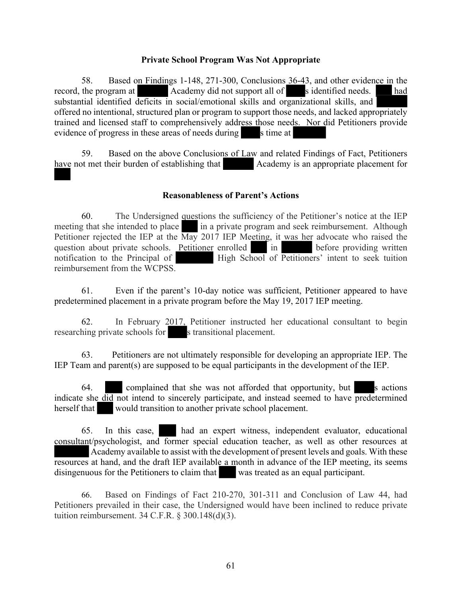#### **Private School Program Was Not Appropriate**

58. Based on Findings 1-148, 271-300, Conclusions 36-43, and other evidence in the record, the program at Academy did not support all of sidentified needs. had substantial identified deficits in social/emotional skills and organizational skills, and offered no intentional, structured plan or program to support those needs, and lacked appropriately trained and licensed staff to comprehensively address those needs. Nor did Petitioners provide evidence of progress in these areas of needs during s time at

59. Based on the above Conclusions of Law and related Findings of Fact, Petitioners have not met their burden of establishing that Academy is an appropriate placement for

#### **Reasonableness of Parent's Actions**

60. The Undersigned questions the sufficiency of the Petitioner's notice at the IEP meeting that she intended to place in a private program and seek reimbursement. Although Petitioner rejected the IEP at the  $\overline{\text{May}}$  2017 IEP Meeting, it was her advocate who raised the question about private schools. Petitioner enrolled  $\overline{\text{in}}$  in question about private schools. Petitioner enrolled notification to the Principal of High School of Petitioners' intent to seek tuition reimbursement from the WCPSS.

61. Even if the parent's 10-day notice was sufficient, Petitioner appeared to have predetermined placement in a private program before the May 19, 2017 IEP meeting.

62. In February 2017, Petitioner instructed her educational consultant to begin researching private schools for s transitional placement.

63. Petitioners are not ultimately responsible for developing an appropriate IEP. The IEP Team and parent(s) are supposed to be equal participants in the development of the IEP.

64. complained that she was not afforded that opportunity, but s actions indicate she did not intend to sincerely participate, and instead seemed to have predetermined herself that would transition to another private school placement.

65. In this case, had an expert witness, independent evaluator, educational consultant/psychologist, and former special education teacher, as well as other resources at Academy available to assist with the development of present levels and goals. With these resources at hand, and the draft IEP available a month in advance of the IEP meeting, its seems disingenuous for the Petitioners to claim that was treated as an equal participant.

66. Based on Findings of Fact 210-270, 301-311 and Conclusion of Law 44, had Petitioners prevailed in their case, the Undersigned would have been inclined to reduce private tuition reimbursement. 34 C.F.R. § 300.148(d)(3).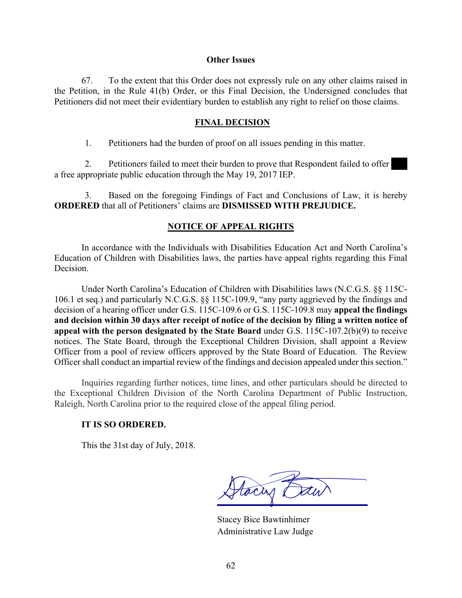#### **Other Issues**

67. To the extent that this Order does not expressly rule on any other claims raised in the Petition, in the Rule 41(b) Order, or this Final Decision, the Undersigned concludes that Petitioners did not meet their evidentiary burden to establish any right to relief on those claims.

#### **FINAL DECISION**

1. Petitioners had the burden of proof on all issues pending in this matter.

2. Petitioners failed to meet their burden to prove that Respondent failed to offer a free appropriate public education through the May 19, 2017 IEP.

3. Based on the foregoing Findings of Fact and Conclusions of Law, it is hereby **ORDERED** that all of Petitioners' claims are **DISMISSED WITH PREJUDICE.**

#### **NOTICE OF APPEAL RIGHTS**

In accordance with the Individuals with Disabilities Education Act and North Carolina's Education of Children with Disabilities laws, the parties have appeal rights regarding this Final **Decision** 

Under North Carolina's Education of Children with Disabilities laws (N.C.G.S. §§ 115C-106.1 et seq.) and particularly N.C.G.S. §§ 115C-109.9, "any party aggrieved by the findings and decision of a hearing officer under G.S. 115C-109.6 or G.S. 115C-109.8 may **appeal the findings and decision within 30 days after receipt of notice of the decision by filing a written notice of appeal with the person designated by the State Board** under G.S. 115C-107.2(b)(9) to receive notices. The State Board, through the Exceptional Children Division, shall appoint a Review Officer from a pool of review officers approved by the State Board of Education. The Review Officer shall conduct an impartial review of the findings and decision appealed under this section."

Inquiries regarding further notices, time lines, and other particulars should be directed to the Exceptional Children Division of the North Carolina Department of Public Instruction, Raleigh, North Carolina prior to the required close of the appeal filing period.

#### **IT IS SO ORDERED.**

This the 31st day of July, 2018.

tocas t

Stacey Bice Bawtinhimer Administrative Law Judge